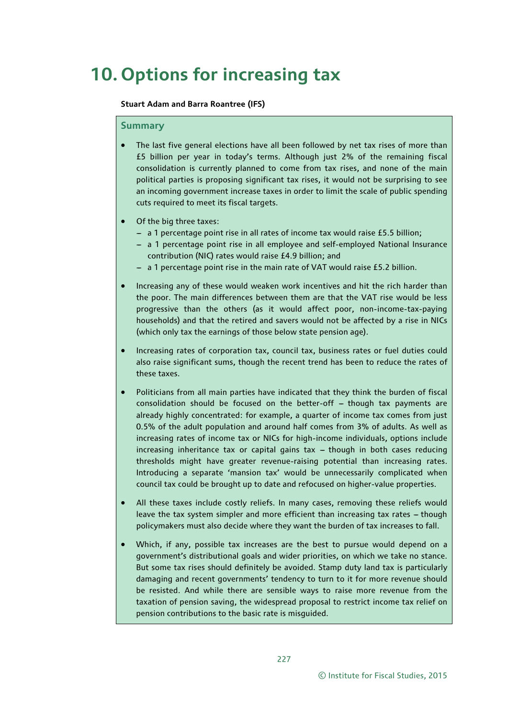# **10. Options for increasing tax**

### **Stuart Adam and Barra Roantree (IFS)**

### **Summary**

- The last five general elections have all been followed by net tax rises of more than £5 billion per year in today's terms. Although just 2% of the remaining fiscal consolidation is currently planned to come from tax rises, and none of the main political parties is proposing significant tax rises, it would not be surprising to see an incoming government increase taxes in order to limit the scale of public spending cuts required to meet its fiscal targets.
- Of the big three taxes:
	- a 1 percentage point rise in all rates of income tax would raise £5.5 billion;
	- a 1 percentage point rise in all employee and self-employed National Insurance contribution (NIC) rates would raise £4.9 billion; and
	- a 1 percentage point rise in the main rate of VAT would raise £5.2 billion.
- Increasing any of these would weaken work incentives and hit the rich harder than the poor. The main differences between them are that the VAT rise would be less progressive than the others (as it would affect poor, non-income-tax-paying households) and that the retired and savers would not be affected by a rise in NICs (which only tax the earnings of those below state pension age).
- Increasing rates of corporation tax, council tax, business rates or fuel duties could also raise significant sums, though the recent trend has been to reduce the rates of these taxes.
- Politicians from all main parties have indicated that they think the burden of fiscal consolidation should be focused on the better-off  $-$  though tax payments are already highly concentrated: for example, a quarter of income tax comes from just 0.5% of the adult population and around half comes from 3% of adults. As well as increasing rates of income tax or NICs for high-income individuals, options include increasing inheritance tax or capital gains tax  $-$  though in both cases reducing thresholds might have greater revenue-raising potential than increasing rates. Introducing a separate 'mansion tax' would be unnecessarily complicated when council tax could be brought up to date and refocused on higher-value properties.
- All these taxes include costly reliefs. In many cases, removing these reliefs would leave the tax system simpler and more efficient than increasing tax rates  $-$  though policymakers must also decide where they want the burden of tax increases to fall.
- Which, if any, possible tax increases are the best to pursue would depend on a government's distributional goals and wider priorities, on which we take no stance. But some tax rises should definitely be avoided. Stamp duty land tax is particularly damaging and recent governments' tendency to turn to it for more revenue should be resisted. And while there are sensible ways to raise more revenue from the taxation of pension saving, the widespread proposal to restrict income tax relief on pension contributions to the basic rate is misguided.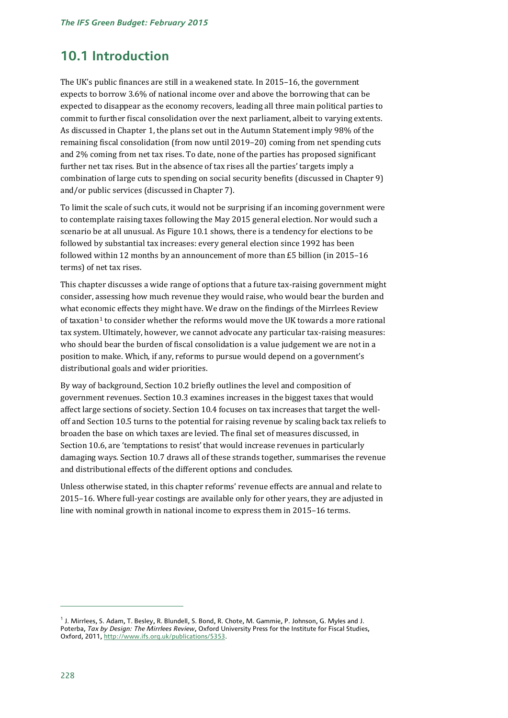# **10.1 Introduction**

The UK's public finances are still in a weakened state. In 2015–16, the government expects to borrow 3.6% of national income over and above the borrowing that can be expected to disappear as the economy recovers, leading all three main political parties to commit to further fiscal consolidation over the next parliament, albeit to varying extents. As discussed in Chapter 1, the plans set out in the Autumn Statement imply 98% of the remaining fiscal consolidation (from now until 2019–20) coming from net spending cuts and 2% coming from net tax rises. To date, none of the parties has proposed significant further net tax rises. But in the absence of tax rises all the parties' targets imply a combination of large cuts to spending on social security benefits (discussed in Chapter 9) and/or public services (discussed in Chapter 7).

To limit the scale of such cuts, it would not be surprising if an incoming government were to contemplate raising taxes following the May 2015 general election. Nor would such a scenario be at all unusual. As Figure 10.1 shows, there is a tendency for elections to be followed by substantial tax increases: every general election since 1992 has been followed within 12 months by an announcement of more than £5 billion (in 2015–16 terms) of net tax rises.

This chapter discusses a wide range of options that a future tax-raising government might consider, assessing how much revenue they would raise, who would bear the burden and what econ[om](#page-1-0)ic effects they might have. We draw on the findings of the Mirrlees Review of taxation1 to consider whether the reforms would move the UK towards a more rational tax system. Ultimately, however, we cannot advocate any particular tax-raising measures: who should bear the burden of fiscal consolidation is a value judgement we are not in a position to make. Which, if any, reforms to pursue would depend on a government's distributional goals and wider priorities.

By way of background, Section 10.2 briefly outlines the level and composition of government revenues. Section 10.3 examines increases in the biggest taxes that would affect large sections of society. Section 10.4 focuses on tax increases that target the welloff and Section 10.5 turns to the potential for raising revenue by scaling back tax reliefs to broaden the base on which taxes are levied. The final set of measures discussed, in Section 10.6, are 'temptations to resist' that would increase revenues in particularly damaging ways. Section 10.7 draws all of these strands together, summarises the revenue and distributional effects of the different options and concludes.

Unless otherwise stated, in this chapter reforms' revenue effects are annual and relate to 2015–16. Where full-year costings are available only for other years, they are adjusted in line with nominal growth in national income to express them in 2015–16 terms.

<span id="page-1-0"></span><sup>&</sup>lt;sup>1</sup> J. Mirrlees, S. Adam, T. Besley, R. Blundell, S. Bond, R. Chote, M. Gammie, P. Johnson, G. Myles and J. Poterba, *Tax by Design: The Mirrlees Review*, Oxford University Press for the Institute for Fiscal Studies, Oxford, 2011[, http://www.ifs.org.uk/publications/5353.](http://www.ifs.org.uk/publications/5353)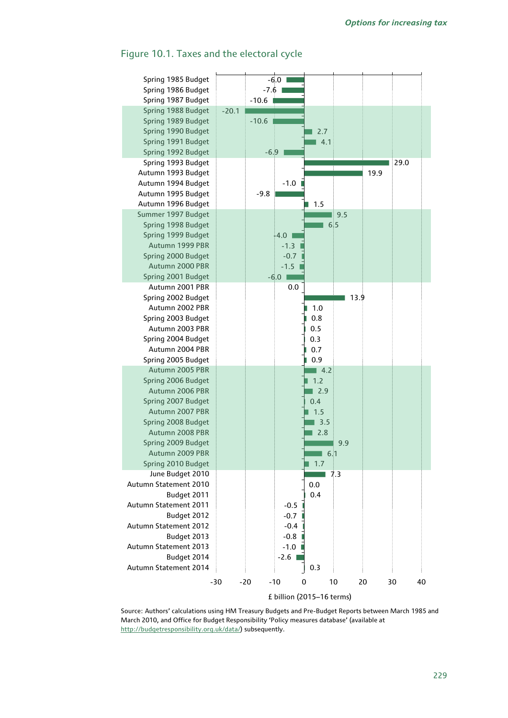

### Figure 10.1. Taxes and the electoral cycle

Source: Authors' calculations using HM Treasury Budgets and Pre-Budget Reports between March 1985 and March 2010, and Office for Budget Responsibility 'Policy measures database' (available at [http://budgetresponsibility.org.uk/data/\)](http://budgetresponsibility.org.uk/data/) subsequently.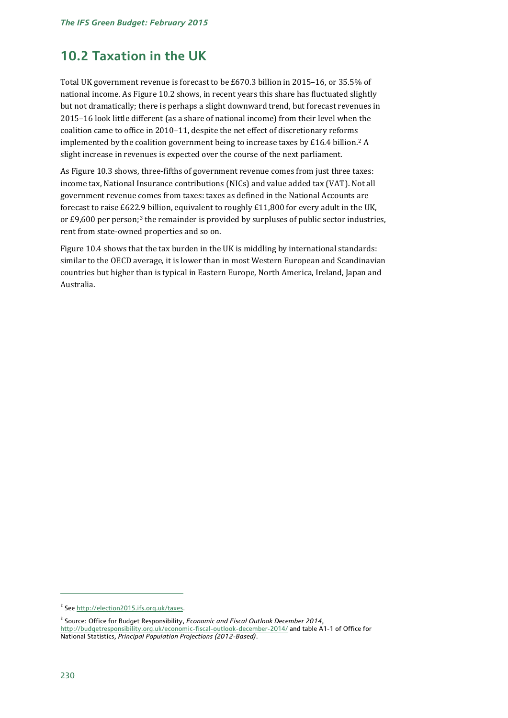# **10.2 Taxation in the UK**

Total UK government revenue is forecast to be £670.3 billion in 2015–16, or 35.5% of national income. As Figure 10.2 shows, in recent years this share has fluctuated slightly but not dramatically; there is perhaps a slight downward trend, but forecast revenues in 2015–16 look little different (as a share of national income) from their level when the coalition came to office in 2010–11, despite the net effect of discretionary reforms implemented by the coalition government being to increase taxes by £16.4 billion.<sup>[2](#page-3-0)</sup> A slight increase in revenues is expected over the course of the next parliament.

As Figure 10.3 shows, three-fifths of government revenue comes from just three taxes: income tax, National Insurance contributions (NICs) and value added tax (VAT). Not all government revenue comes from taxes: taxes as defined in the National Accounts are forecast to raise £622[.9](#page-3-1) billion, equivalent to roughly £11,800 for every adult in the UK, or £9,600 per person;<sup>3</sup> the remainder is provided by surpluses of public sector industries, rent from state-owned properties and so on.

Figure 10.4 shows that the tax burden in the UK is middling by international standards: similar to the OECD average, it is lower than in most Western European and Scandinavian countries but higher than is typical in Eastern Europe, North America, Ireland, Japan and Australia.

<span id="page-3-0"></span><sup>2</sup> See [http://election2015.ifs.org.uk/taxes.](http://election2015.ifs.org.uk/taxes)

<span id="page-3-1"></span><sup>3</sup> Source: Office for Budget Responsibility, *Economic and Fiscal Outlook December 2014*, <http://budgetresponsibility.org.uk/economic-fiscal-outlook-december-2014/> and table A1-1 of Office for National Statistics, *Principal Population Projections (2012-Based)*.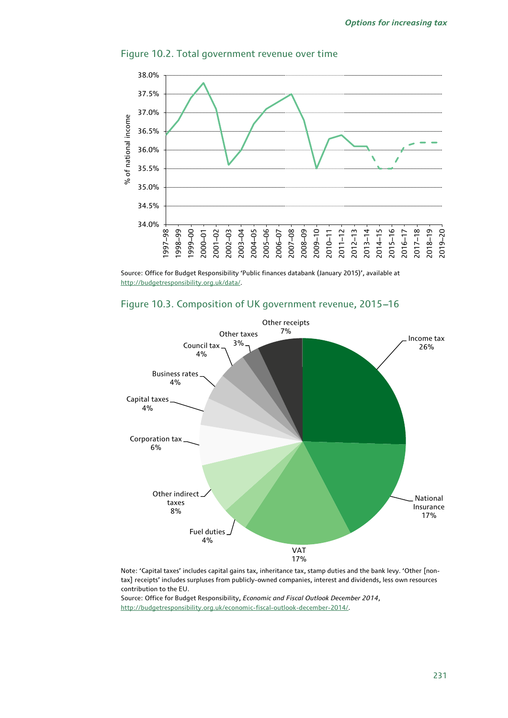

### Figure 10.2. Total government revenue over time

Source: Office for Budget Responsibility 'Public finances databank (January 2015)', available at [http://budgetresponsibility.org.uk/data/.](http://budgetresponsibility.org.uk/data/)





Note: 'Capital taxes' includes capital gains tax, inheritance tax, stamp duties and the bank levy. 'Other [nontax] receipts' includes surpluses from publicly-owned companies, interest and dividends, less own resources contribution to the EU.

Source: Office for Budget Responsibility, *Economic and Fiscal Outlook December 2014*, [http://budgetresponsibility.org.uk/economic-fiscal-outlook-december-2014/.](http://budgetresponsibility.org.uk/economic-fiscal-outlook-december-2014/)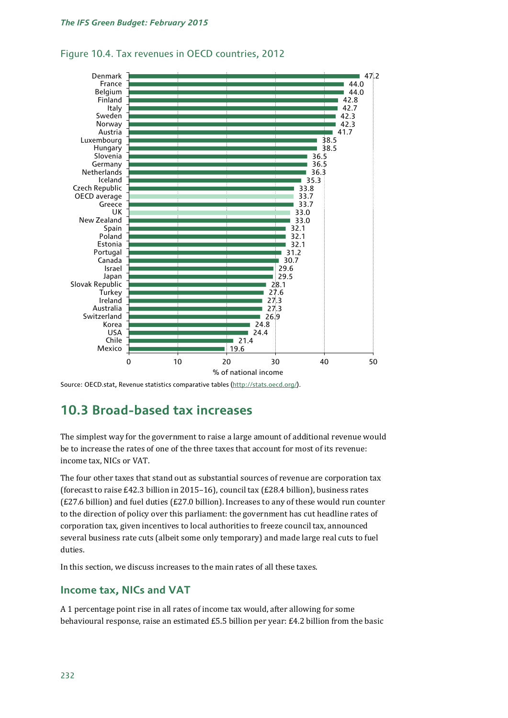

### Figure 10.4. Tax revenues in OECD countries, 2012

Source: OECD.stat, Revenue statistics comparative tables [\(http://stats.oecd.org/\)](http://stats.oecd.org/).

# **10.3 Broad-based tax increases**

The simplest way for the government to raise a large amount of additional revenue would be to increase the rates of one of the three taxes that account for most of its revenue: income tax, NICs or VAT.

The four other taxes that stand out as substantial sources of revenue are corporation tax (forecast to raise £42.3 billion in 2015–16), council tax (£28.4 billion), business rates (£27.6 billion) and fuel duties (£27.0 billion). Increases to any of these would run counter to the direction of policy over this parliament: the government has cut headline rates of corporation tax, given incentives to local authorities to freeze council tax, announced several business rate cuts (albeit some only temporary) and made large real cuts to fuel duties.

In this section, we discuss increases to the main rates of all these taxes.

### **Income tax, NICs and VAT**

A 1 percentage point rise in all rates of income tax would, after allowing for some behavioural response, raise an estimated £5.5 billion per year: £4.2 billion from the basic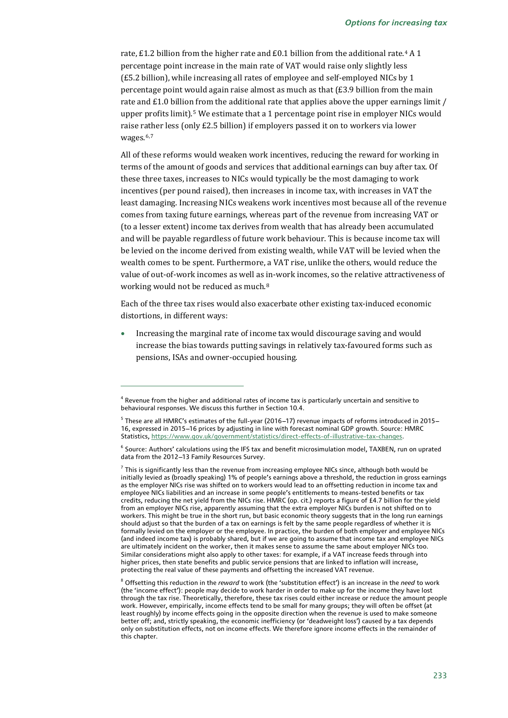rate, £1.2 billion from the higher rate and £0.1 billion from the additional rate.<sup>[4](#page-6-0)</sup> A 1 percentage point increase in the main rate of VAT would raise only slightly less (£5.2 billion), while increasing all rates of employee and self-employed NICs by 1 percentage point would again raise almost as much as that (£3.9 billion from the main rate and £1.0 billion from the additional rate that applies above the upper earnings limit / upper profits limit).[5](#page-6-1) We estimate that a 1 percentage point rise in employer NICs would raise rather less (only £2.5 billion) if employers passed it on to workers via lower wages.<sup>[6,](#page-6-2)[7](#page-6-3)</sup>

<span id="page-6-5"></span>All of these reforms would weaken work incentives, reducing the reward for working in terms of the amount of goods and services that additional earnings can buy after tax. Of these three taxes, increases to NICs would typically be the most damaging to work incentives (per pound raised), then increases in income tax, with increases in VAT the least damaging. Increasing NICs weakens work incentives most because all of the revenue comes from taxing future earnings, whereas part of the revenue from increasing VAT or (to a lesser extent) income tax derives from wealth that has already been accumulated and will be payable regardless of future work behaviour. This is because income tax will be levied on the income derived from existing wealth, while VAT will be levied when the wealth comes to be spent. Furthermore, a VAT rise, unlike the others, would reduce the value of out-of-work incomes as well as in-work incomes, so the relative attractiveness of working would not be reduced as much.<sup>[8](#page-6-4)</sup>

Each of the three tax rises would also exacerbate other existing tax-induced economic distortions, in different ways:

• Increasing the marginal rate of income tax would discourage saving and would increase the bias towards putting savings in relatively tax-favoured forms such as pensions, ISAs and owner-occupied housing.

<span id="page-6-0"></span><sup>4</sup> Revenue from the higher and additional rates of income tax is particularly uncertain and sensitive to behavioural responses. We discuss this further in Section 10.4.

<span id="page-6-1"></span> $5$  These are all HMRC's estimates of the full-year (2016-17) revenue impacts of reforms introduced in 2015--16, expressed in 2015-16 prices by adjusting in line with forecast nominal GDP growth. Source: HMRC Statistics, https://www.gov.uk/government/statistics/direct-effects-of-illustrative-tax-changes.

<span id="page-6-2"></span> $6$  Source: Authors' calculations using the IFS tax and benefit microsimulation model, TAXBEN, run on uprated data from the 2012-13 Family Resources Survey.

<span id="page-6-3"></span> $<sup>7</sup>$  This is significantly less than the revenue from increasing employee NICs since, although both would be</sup> initially levied as (broadly speaking) 1% of people's earnings above a threshold, the reduction in gross earnings as the employer NICs rise was shifted on to workers would lead to an offsetting reduction in income tax and employee NICs liabilities and an increase in some people's entitlements to means-tested benefits or tax credits, reducing the net yield from the NICs rise. HMRC (op. cit.) reports a figure of £4.7 billion for the yield from an employer NICs rise, apparently assuming that the extra employer NICs burden is not shifted on to workers. This might be true in the short run, but basic economic theory suggests that in the long run earnings should adjust so that the burden of a tax on earnings is felt by the same people regardless of whether it is formally levied on the employer or the employee. In practice, the burden of both employer and employee NICs (and indeed income tax) is probably shared, but if we are going to assume that income tax and employee NICs are ultimately incident on the worker, then it makes sense to assume the same about employer NICs too. Similar considerations might also apply to other taxes: for example, if a VAT increase feeds through into higher prices, then state benefits and public service pensions that are linked to inflation will increase, protecting the real value of these payments and offsetting the increased VAT revenue.

<span id="page-6-4"></span><sup>8</sup> Offsetting this reduction in the *reward* to work (the 'substitution effect') is an increase in the *need* to work (the 'income effect'): people may decide to work harder in order to make up for the income they have lost through the tax rise. Theoretically, therefore, these tax rises could either increase or reduce the amount people work. However, empirically, income effects tend to be small for many groups; they will often be offset (at least roughly) by income effects going in the opposite direction when the revenue is used to make someone better off; and, strictly speaking, the economic inefficiency (or 'deadweight loss') caused by a tax depends only on substitution effects, not on income effects. We therefore ignore income effects in the remainder of this chapter.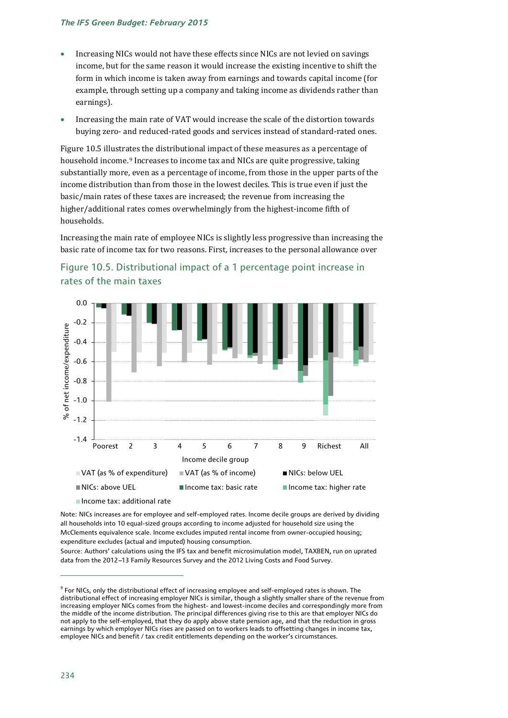- Increasing NICs would not have these effects since NICs are not levied on savings income, but for the same reason it would increase the existing incentive to shift the form in which income is taken away from earnings and towards capital income (for example, through setting up a company and taking income as dividends rather than earnings).
- Increasing the main rate of VAT would increase the scale of the distortion towards buying zero- and reduced-rated goods and services instead of standard-rated ones.

Figure 10.5 illustrates the distributional impact of these measures as a percentage of household income.[9](#page-7-0) Increases to income tax and NICs are quite progressive, taking substantially more, even as a percentage of income, from those in the upper parts of the income distribution than from those in the lowest deciles. This is true even if just the basic/main rates of these taxes are increased; the revenue from increasing the higher/additional rates comes overwhelmingly from the highest-income fifth of households.

Increasing the main rate of employee NICs is slightly less progressive than increasing the basic rate of income tax for two reasons. First, increases to the personal allowance over





Income tax: additional rate

Note: NICs increases are for employee and self-employed rates. Income decile groups are derived by dividing all households into 10 equal-sized groups according to income adjusted for household size using the McClements equivalence scale. Income excludes imputed rental income from owner-occupied housing; expenditure excludes (actual and imputed) housing consumption.

Source: Authors' calculations using the IFS tax and benefit microsimulation model, TAXBEN, run on uprated data from the 2012-13 Family Resources Survey and the 2012 Living Costs and Food Survey.

<span id="page-7-0"></span><sup>&</sup>lt;sup>9</sup> For NICs, only the distributional effect of increasing employee and self-employed rates is shown. The distributional effect of increasing employer NICs is similar, though a slightly smaller share of the revenue from increasing employer NICs comes from the highest- and lowest-income deciles and correspondingly more from the middle of the income distribution. The principal differences giving rise to this are that employer NICs do not apply to the self-employed, that they do apply above state pension age, and that the reduction in gross earnings by which employer NICs rises are passed on to workers leads to offsetting changes in income tax, employee NICs and benefit / tax credit entitlements depending on the worker's circumstances.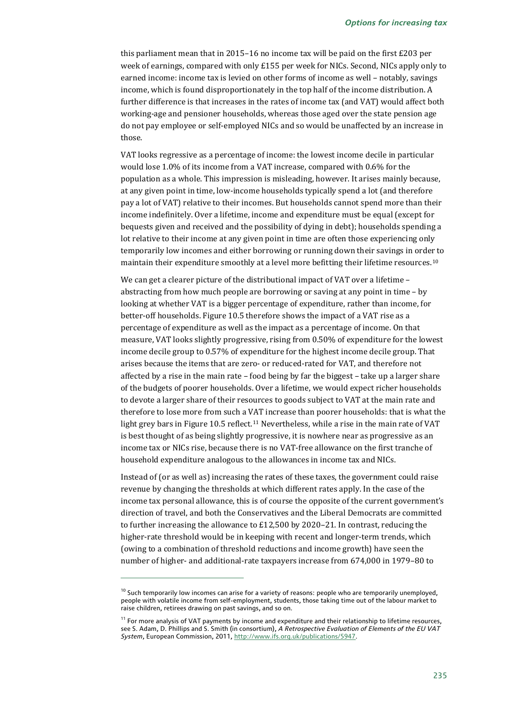this parliament mean that in 2015–16 no income tax will be paid on the first £203 per week of earnings, compared with only £155 per week for NICs. Second, NICs apply only to earned income: income tax is levied on other forms of income as well – notably, savings income, which is found disproportionately in the top half of the income distribution. A further difference is that increases in the rates of income tax (and VAT) would affect both working-age and pensioner households, whereas those aged over the state pension age do not pay employee or self-employed NICs and so would be unaffected by an increase in those.

VAT looks regressive as a percentage of income: the lowest income decile in particular would lose 1.0% of its income from a VAT increase, compared with 0.6% for the population as a whole. This impression is misleading, however. It arises mainly because, at any given point in time, low-income households typically spend a lot (and therefore pay a lot of VAT) relative to their incomes. But households cannot spend more than their income indefinitely. Over a lifetime, income and expenditure must be equal (except for bequests given and received and the possibility of dying in debt); households spending a lot relative to their income at any given point in time are often those experiencing only temporarily low incomes and either borrowing or running down their savings in order to maintain their expenditure smoothly at a level more befitting their lifetime resources.[10](#page-8-0)

We can get a clearer picture of the distributional impact of VAT over a lifetime – abstracting from how much people are borrowing or saving at any point in time – by looking at whether VAT is a bigger percentage of expenditure, rather than income, for better-off households. Figure 10.5 therefore shows the impact of a VAT rise as a percentage of expenditure as well as the impact as a percentage of income. On that measure, VAT looks slightly progressive, rising from 0.50% of expenditure for the lowest income decile group to 0.57% of expenditure for the highest income decile group. That arises because the items that are zero- or reduced-rated for VAT, and therefore not affected by a rise in the main rate – food being by far the biggest – take up a larger share of the budgets of poorer households. Over a lifetime, we would expect richer households to devote a larger share of their resources to goods subject to VAT at the main rate and therefore to lose more from such a VAT increase than poorer households: that is what the light grey bars in Figure 10.5 reflect.<sup>[11](#page-8-1)</sup> Nevertheless, while a rise in the main rate of VAT is best thought of as being slightly progressive, it is nowhere near as progressive as an income tax or NICs rise, because there is no VAT-free allowance on the first tranche of household expenditure analogous to the allowances in income tax and NICs.

Instead of (or as well as) increasing the rates of these taxes, the government could raise revenue by changing the thresholds at which different rates apply. In the case of the income tax personal allowance, this is of course the opposite of the current government's direction of travel, and both the Conservatives and the Liberal Democrats are committed to further increasing the allowance to £12,500 by 2020–21. In contrast, reducing the higher-rate threshold would be in keeping with recent and longer-term trends, which (owing to a combination of threshold reductions and income growth) have seen the number of higher- and additional-rate taxpayers increase from 674,000 in 1979–80 to

<span id="page-8-0"></span> $^{10}$  Such temporarily low incomes can arise for a variety of reasons: people who are temporarily unemployed, people with volatile income from self-employment, students, those taking time out of the labour market to raise children, retirees drawing on past savings, and so on.

<span id="page-8-1"></span> $11$  For more analysis of VAT payments by income and expenditure and their relationship to lifetime resources, see S. Adam, D. Phillips and S. Smith (in consortium), *A Retrospective Evaluation of Elements of the EU VAT System*, European Commission, 2011, [http://www.ifs.org.uk/publications/5947.](http://www.ifs.org.uk/publications/5947)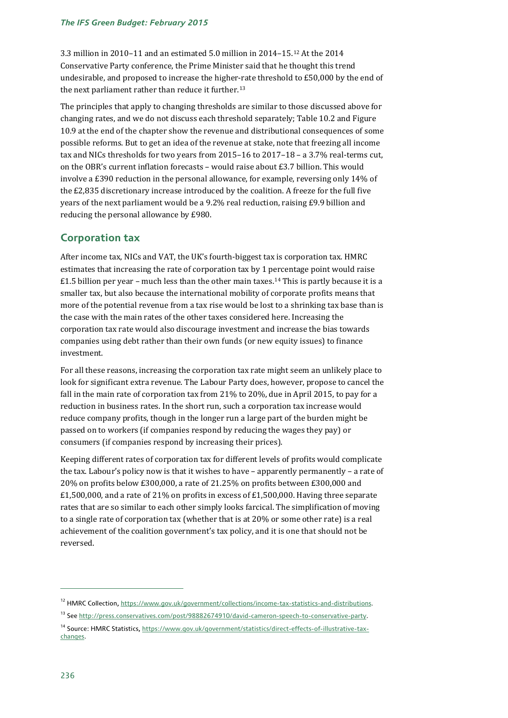3.3 million in 2010–11 and an estimated 5.0 million in 2014–15.[12](#page-9-0) At the 2014 Conservative Party conference, the Prime Minister said that he thought this trend undesirable, and proposed to increase the higher-rate threshold to £50,000 by the end of the next parliament rather than reduce it further.<sup>[13](#page-9-1)</sup>

The principles that apply to changing thresholds are similar to those discussed above for changing rates, and we do not discuss each threshold separately; Table 10.2 and Figure 10.9 at the end of the chapter show the revenue and distributional consequences of some possible reforms. But to get an idea of the revenue at stake, note that freezing all income tax and NICs thresholds for two years from 2015–16 to 2017–18 – a 3.7% real-terms cut, on the OBR's current inflation forecasts – would raise about £3.7 billion. This would involve a £390 reduction in the personal allowance, for example, reversing only 14% of the £2,835 discretionary increase introduced by the coalition. A freeze for the full five years of the next parliament would be a 9.2% real reduction, raising £9.9 billion and reducing the personal allowance by £980.

### **Corporation tax**

After income tax, NICs and VAT, the UK's fourth-biggest tax is corporation tax. HMRC estimates that increasing the rate of corporation tax by 1 percentage point would raise  $£1.5$  billion per year – much less than the other main taxes.<sup>[14](#page-9-2)</sup> This is partly because it is a smaller tax, but also because the international mobility of corporate profits means that more of the potential revenue from a tax rise would be lost to a shrinking tax base than is the case with the main rates of the other taxes considered here. Increasing the corporation tax rate would also discourage investment and increase the bias towards companies using debt rather than their own funds (or new equity issues) to finance investment.

For all these reasons, increasing the corporation tax rate might seem an unlikely place to look for significant extra revenue. The Labour Party does, however, propose to cancel the fall in the main rate of corporation tax from 21% to 20%, due in April 2015, to pay for a reduction in business rates. In the short run, such a corporation tax increase would reduce company profits, though in the longer run a large part of the burden might be passed on to workers (if companies respond by reducing the wages they pay) or consumers (if companies respond by increasing their prices).

Keeping different rates of corporation tax for different levels of profits would complicate the tax. Labour's policy now is that it wishes to have – apparently permanently – a rate of 20% on profits below £300,000, a rate of 21.25% on profits between £300,000 and  $£1,500,000$ , and a rate of 21% on profits in excess of £1,500,000. Having three separate rates that are so similar to each other simply looks farcical. The simplification of moving to a single rate of corporation tax (whether that is at 20% or some other rate) is a real achievement of the coalition government's tax policy, and it is one that should not be reversed.

<span id="page-9-0"></span><sup>&</sup>lt;sup>12</sup> HMRC Collection[, https://www.gov.uk/government/collections/income-tax-statistics-and-distributions.](https://www.gov.uk/government/collections/income-tax-statistics-and-distributions)

<span id="page-9-1"></span><sup>&</sup>lt;sup>13</sup> See http://press.conservatives.com/post/98882674910/david-cameron-speech-to-conservative-party.

<span id="page-9-2"></span><sup>&</sup>lt;sup>14</sup> Source: HMRC Statistics[, https://www.gov.uk/government/statistics/direct-effects-of-illustrative-tax](https://www.gov.uk/government/statistics/direct-effects-of-illustrative-tax-changes)[changes.](https://www.gov.uk/government/statistics/direct-effects-of-illustrative-tax-changes)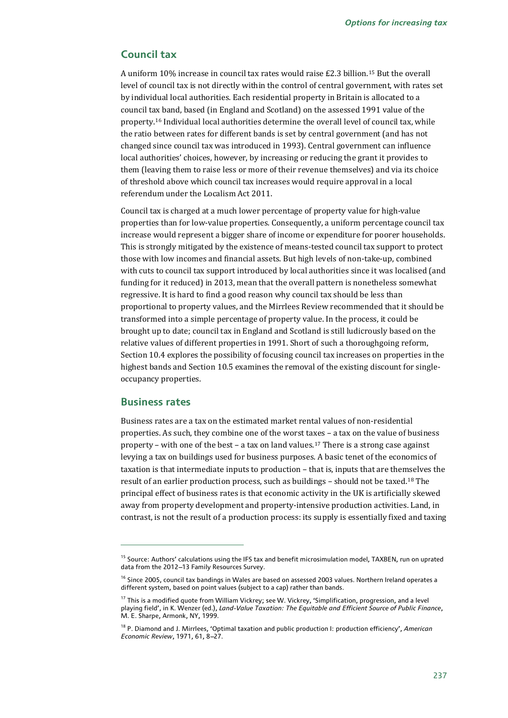### **Council tax**

A uniform 10% increase in council tax rates would raise £2.3 billion.[15](#page-10-0) But the overall level of council tax is not directly within the control of central government, with rates set by individual local authorities. Each residential property in Britain is allocated to a council tax band, based (in England and Scotland) on the assessed 1991 value of the property.[16](#page-10-1) Individual local authorities determine the overall level of council tax, while the ratio between rates for different bands is set by central government (and has not changed since council tax was introduced in 1993). Central government can influence local authorities' choices, however, by increasing or reducing the grant it provides to them (leaving them to raise less or more of their revenue themselves) and via its choice of threshold above which council tax increases would require approval in a local referendum under the Localism Act 2011.

Council tax is charged at a much lower percentage of property value for high-value properties than for low-value properties. Consequently, a uniform percentage council tax increase would represent a bigger share of income or expenditure for poorer households. This is strongly mitigated by the existence of means-tested council tax support to protect those with low incomes and financial assets. But high levels of non-take-up, combined with cuts to council tax support introduced by local authorities since it was localised (and funding for it reduced) in 2013, mean that the overall pattern is nonetheless somewhat regressive. It is hard to find a good reason why council tax should be less than proportional to property values, and the Mirrlees Review recommended that it should be transformed into a simple percentage of property value. In the process, it could be brought up to date; council tax in England and Scotland is still ludicrously based on the relative values of different properties in 1991. Short of such a thoroughgoing reform, Section 10.4 explores the possibility of focusing council tax increases on properties in the highest bands and Section 10.5 examines the removal of the existing discount for singleoccupancy properties.

### **Business rates**

j

Business rates are a tax on the estimated market rental values of non-residential properties. As such, they combine one of the worst taxes – a tax on the value of business property – with one of the best – a tax on land values.<sup>[17](#page-10-2)</sup> There is a strong case against levying a tax on buildings used for business purposes. A basic tenet of the economics of taxation is that intermediate inputs to production – that is, inputs that are themselves the result of an earlier production process, such as buildings – should not be taxed.[18](#page-10-3) The principal effect of business rates is that economic activity in the UK is artificially skewed away from property development and property-intensive production activities. Land, in contrast, is not the result of a production process: its supply is essentially fixed and taxing

<span id="page-10-0"></span><sup>&</sup>lt;sup>15</sup> Source: Authors' calculations using the IFS tax and benefit microsimulation model, TAXBEN, run on uprated data from the 2012-13 Family Resources Survey.

<span id="page-10-1"></span><sup>&</sup>lt;sup>16</sup> Since 2005, council tax bandings in Wales are based on assessed 2003 values. Northern Ireland operates a different system, based on point values (subject to a cap) rather than bands.

<span id="page-10-2"></span><sup>&</sup>lt;sup>17</sup> This is a modified quote from William Vickrey; see W. Vickrey, 'Simplification, progression, and a level playing field', in K. Wenzer (ed.), *Land-Value Taxation: The Equitable and Efficient Source of Public Finance*, M. E. Sharpe, Armonk, NY, 1999.

<span id="page-10-3"></span><sup>18</sup> P. Diamond and J. Mirrlees, 'Optimal taxation and public production I: production efficiency', *American Economic Review,* 1971, 61, 8-27.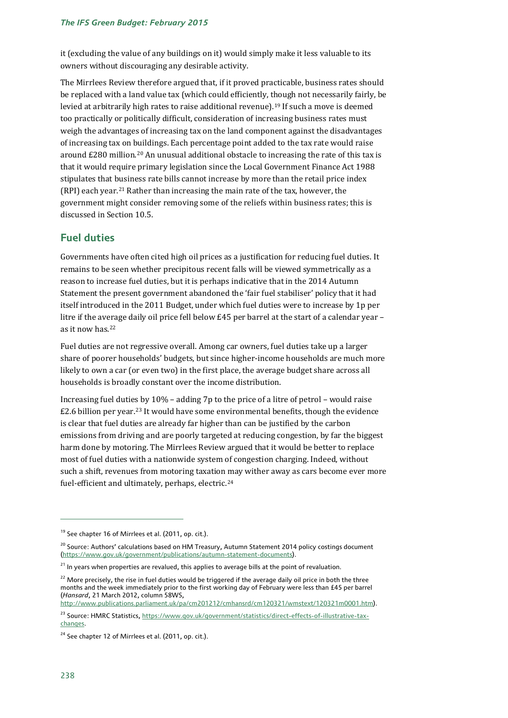it (excluding the value of any buildings on it) would simply make it less valuable to its owners without discouraging any desirable activity.

The Mirrlees Review therefore argued that, if it proved practicable, business rates should be replaced with a land value tax (which could efficiently, though not necessarily fairly, be levied at arbitrarily high rates to raise additional revenue).[19](#page-11-0) If such a move is deemed too practically or politically difficult, consideration of increasing business rates must weigh the advantages of increasing tax on the land component against the disadvantages of increasing tax on buildings. Each percentage point added to the tax rate would raise around  $\text{\pounds}280$  million.<sup>[20](#page-11-1)</sup> An unusual additional obstacle to increasing the rate of this tax is that it would require primary legislation since the Local Government Finance Act 1988 stipulates that [bus](#page-11-2)iness rate bills cannot increase by more than the retail price index (RPI) each year.21 Rather than increasing the main rate of the tax, however, the government might consider removing some of the reliefs within business rates; this is discussed in Section 10.5.

### **Fuel duties**

Governments have often cited high oil prices as a justification for reducing fuel duties. It remains to be seen whether precipitous recent falls will be viewed symmetrically as a reason to increase fuel duties, but it is perhaps indicative that in the 2014 Autumn Statement the present government abandoned the 'fair fuel stabiliser' policy that it had itself introduced in the 2011 Budget, under which fuel duties were to increase by 1p per litre if the average daily oil price fell below £45 per barrel at the start of a calendar year – as it now has.[22](#page-11-3)

Fuel duties are not regressive overall. Among car owners, fuel duties take up a larger share of poorer households' budgets, but since higher-income households are much more likely to own a car (or even two) in the first place, the average budget share across all households is broadly constant over the income distribution.

Increasing fuel dutie[s b](#page-11-4)y 10% – adding 7p to the price of a litre of petrol – would raise £2.6 billion per year.23 It would have some environmental benefits, though the evidence is clear that fuel duties are already far higher than can be justified by the carbon emissions from driving and are poorly targeted at reducing congestion, by far the biggest harm done by motoring. The Mirrlees Review argued that it would be better to replace most of fuel duties with a nationwide system of congestion charging. Indeed, without such a shift, revenues from motoring taxation may wither away as cars become ever more fuel-efficient and ultimately, perhaps, electric.[24](#page-11-5)

[http://www.publications.parliament.uk/pa/cm201212/cmhansrd/cm120321/wmstext/120321m0001.htm\)](http://www.publications.parliament.uk/pa/cm201212/cmhansrd/cm120321/wmstext/120321m0001.htm).

<span id="page-11-0"></span> $19$  See chapter 16 of Mirrlees et al. (2011, op. cit.).

<span id="page-11-1"></span><sup>&</sup>lt;sup>20</sup> Source: Authors' calculations based on HM Treasury, Autumn Statement 2014 policy costings document [\(https://www.gov.uk/government/publications/autumn-statement-documents\)](https://www.gov.uk/government/publications/autumn-statement-documents).

<span id="page-11-2"></span><sup>&</sup>lt;sup>21</sup> In years when properties are revalued, this applies to average bills at the point of revaluation.

<span id="page-11-3"></span> $22$  More precisely, the rise in fuel duties would be triggered if the average daily oil price in both the three months and the week immediately prior to the first working day of February were less than £45 per barrel (*Hansard*, 21 March 2012, column 58WS,

<span id="page-11-4"></span><sup>&</sup>lt;sup>23</sup> Source: HMRC Statistics[, https://www.gov.uk/government/statistics/direct-effects-of-illustrative-tax](https://www.gov.uk/government/statistics/direct-effects-of-illustrative-tax-changes)[changes.](https://www.gov.uk/government/statistics/direct-effects-of-illustrative-tax-changes)

<span id="page-11-5"></span><sup>&</sup>lt;sup>24</sup> See chapter 12 of Mirrlees et al. (2011, op. cit.).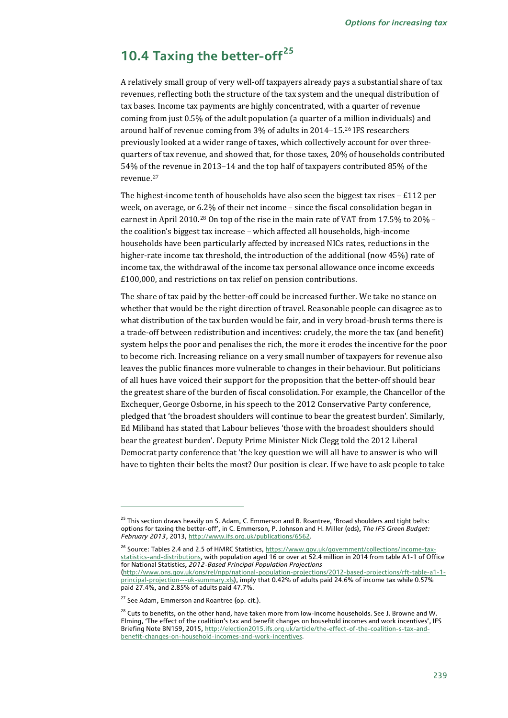# **10.4 Taxing the better-off[25](#page-12-0)**

A relatively small group of very well-off taxpayers already pays a substantial share of tax revenues, reflecting both the structure of the tax system and the unequal distribution of tax bases. Income tax payments are highly concentrated, with a quarter of revenue coming from just 0.5% of the adult population (a quarter of a [mi](#page-12-1)llion individuals) and around half of revenue coming from 3% of adults in 2014–15. <sup>26</sup> IFS researchers previously looked at a wider range of taxes, which collectively account for over threequarters of tax revenue, and showed that, for those taxes, 20% of households contributed 54% of the revenue in 2013–14 and the top half of taxpayers contributed 85% of the revenue.[27](#page-12-2)

The highest-income tenth of households have also seen the biggest tax rises  $-E112$  per week, on average, or 6.2% of their net income – since the fiscal consolidation began in earnest in April 2010.[28](#page-12-3) On top of the rise in the main rate of VAT from 17.5% to 20% – the coalition's biggest tax increase – which affected all households, high-income households have been particularly affected by increased NICs rates, reductions in the higher-rate income tax threshold, the introduction of the additional (now 45%) rate of income tax, the withdrawal of the income tax personal allowance once income exceeds £100,000, and restrictions on tax relief on pension contributions.

The share of tax paid by the better-off could be increased further. We take no stance on whether that would be the right direction of travel. Reasonable people can disagree as to what distribution of the tax burden would be fair, and in very broad-brush terms there is a trade-off between redistribution and incentives: crudely, the more the tax (and benefit) system helps the poor and penalises the rich, the more it erodes the incentive for the poor to become rich. Increasing reliance on a very small number of taxpayers for revenue also leaves the public finances more vulnerable to changes in their behaviour. But politicians of all hues have voiced their support for the proposition that the better-off should bear the greatest share of the burden of fiscal consolidation. For example, the Chancellor of the Exchequer, George Osborne, in his speech to the 2012 Conservative Party conference, pledged that 'the broadest shoulders will continue to bear the greatest burden'. Similarly, Ed Miliband has stated that Labour believes 'those with the broadest shoulders should bear the greatest burden'. Deputy Prime Minister Nick Clegg told the 2012 Liberal Democrat party conference that 'the key question we will all have to answer is who will have to tighten their belts the most? Our position is clear. If we have to ask people to take

<span id="page-12-0"></span><sup>&</sup>lt;sup>25</sup> This section draws heavily on S. Adam, C. Emmerson and B. Roantree, 'Broad shoulders and tight belts: options for taxing the better-off', in C. Emmerson, P. Johnson and H. Miller (eds), *The IFS Green Budget: February 2013*, 2013, [http://www.ifs.org.uk/publications/6562.](http://www.ifs.org.uk/publications/6562)

<span id="page-12-1"></span><sup>&</sup>lt;sup>26</sup> Source: Tables 2.4 and 2.5 of HMRC Statistics, [https://www.gov.uk/government/collections/income-tax](https://www.gov.uk/government/collections/income-tax-statistics-and-distributions)[statistics-and-distributions,](https://www.gov.uk/government/collections/income-tax-statistics-and-distributions) with population aged 16 or over at 52.4 million in 2014 from table A1-1 of Office for National Statistics, *2012-Based Principal Population Projections* [\(http://www.ons.gov.uk/ons/rel/npp/national-population-projections/2012-based-projections/rft-table-a1-1](http://www.ons.gov.uk/ons/rel/npp/national-population-projections/2012-based-projections/rft-table-a1-1-principal-projection---uk-summary.xls) [principal-projection---uk-summary.xls\),](http://www.ons.gov.uk/ons/rel/npp/national-population-projections/2012-based-projections/rft-table-a1-1-principal-projection---uk-summary.xls) imply that 0.42% of adults paid 24.6% of income tax while 0.57% paid 27.4%, and 2.85% of adults paid 47.7%.

<span id="page-12-2"></span><sup>&</sup>lt;sup>27</sup> See Adam, Emmerson and Roantree (op. cit.).

<span id="page-12-3"></span><sup>&</sup>lt;sup>28</sup> Cuts to benefits, on the other hand, have taken more from low-income households. See J. Browne and W. Elming, 'The effect of the coalition's tax and benefit changes on household incomes and work incentives', IFS Briefing Note BN159, 2015[, http://election2015.ifs.org.uk/article/the-effect-of-the-coalition-s-tax-and](http://election2015.ifs.org.uk/article/the-effect-of-the-coalition-s-tax-and-benefit-changes-on-household-incomes-and-work-incentives)[benefit-changes-on-household-incomes-and-work-incentives.](http://election2015.ifs.org.uk/article/the-effect-of-the-coalition-s-tax-and-benefit-changes-on-household-incomes-and-work-incentives)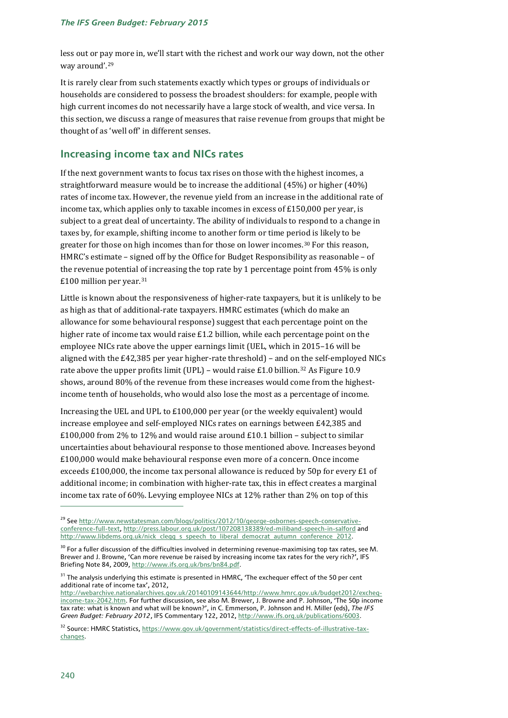less out or pay more in, we'll start with the richest and work our way down, not the other way around'.[29](#page-13-0)

It is rarely clear from such statements exactly which types or groups of individuals or households are considered to possess the broadest shoulders: for example, people with high current incomes do not necessarily have a large stock of wealth, and vice versa. In this section, we discuss a range of measures that raise revenue from groups that might be thought of as 'well off' in different senses.

### **Increasing income tax and NICs rates**

If the next government wants to focus tax rises on those with the highest incomes, a straightforward measure would be to increase the additional (45%) or higher (40%) rates of income tax. However, the revenue yield from an increase in the additional rate of income tax, which applies only to taxable incomes in excess of £150,000 per year, is subject to a great deal of uncertainty. The ability of individuals to respond to a change in taxes by, for example, shifting income to another form or time period is likely to be greater for those on high incomes than for those on lower incomes.[30](#page-13-1) For this reason, HMRC's estimate – signed off by the Office for Budget Responsibility as reasonable – of the revenue potential of increasing the top rate by 1 percentage point from 45% is only £100 million per year.[31](#page-13-2)

Little is known about the responsiveness of higher-rate taxpayers, but it is unlikely to be as high as that of additional-rate taxpayers. HMRC estimates (which do make an allowance for some behavioural response) suggest that each percentage point on the higher rate of income tax would raise £1.2 billion, while each percentage point on the employee NICs rate above the upper earnings limit (UEL, which in 2015–16 will be aligned with the £42,385 per year higher-rate threshold) – and on the self-employed NICs rate above the upper profits limit (UPL) - would raise £1.0 billion.<sup>[32](#page-13-3)</sup> As Figure 10.9 shows, around 80% of the revenue from these increases would come from the highestincome tenth of households, who would also lose the most as a percentage of income.

Increasing the UEL and UPL to £100,000 per year (or the weekly equivalent) would increase employee and self-employed NICs rates on earnings between £42,385 and £100,000 from 2% to 12% and would raise around £10.1 billion – subject to similar uncertainties about behavioural response to those mentioned above. Increases beyond £100,000 would make behavioural response even more of a concern. Once income exceeds £100,000, the income tax personal allowance is reduced by 50p for every £1 of additional income; in combination with higher-rate tax, this in effect creates a marginal income tax rate of 60%. Levying employee NICs at 12% rather than 2% on top of this

<span id="page-13-0"></span><sup>&</sup>lt;sup>29</sup> Se[e http://www.newstatesman.com/blogs/politics/2012/10/george-osbornes-speech-conservative](http://www.newstatesman.com/blogs/politics/2012/10/george-osbornes-speech-conservative-conference-full-text)[conference-full-text,](http://www.newstatesman.com/blogs/politics/2012/10/george-osbornes-speech-conservative-conference-full-text)<http://press.labour.org.uk/post/107208138389/ed-miliband-speech-in-salford> and [http://www.libdems.org.uk/nick\\_clegg\\_s\\_speech\\_to\\_liberal\\_democrat\\_autumn\\_conference\\_2012.](http://www.libdems.org.uk/nick_clegg_s_speech_to_liberal_democrat_autumn_conference_2012)

<span id="page-13-1"></span> $30$  For a fuller discussion of the difficulties involved in determining revenue-maximising top tax rates, see M. Brewer and J. Browne, 'Can more revenue be raised by increasing income tax rates for the very rich?', IFS Briefing Note 84, 2009, [http://www.ifs.org.uk/bns/bn84.pdf.](http://www.ifs.org.uk/bns/bn84.pdf)

<span id="page-13-2"></span> $31$  The analysis underlying this estimate is presented in HMRC, 'The exchequer effect of the 50 per cent additional rate of income tax', 2012,

[http://webarchive.nationalarchives.gov.uk/20140109143644/http://www.hmrc.gov.uk/budget2012/excheq](http://webarchive.nationalarchives.gov.uk/20140109143644/http:/www.hmrc.gov.uk/budget2012/excheq-income-tax-2042.htm)[income-tax-2042.htm.](http://webarchive.nationalarchives.gov.uk/20140109143644/http:/www.hmrc.gov.uk/budget2012/excheq-income-tax-2042.htm) For further discussion, see also M. Brewer, J. Browne and P. Johnson, 'The 50p income tax rate: what is known and what will be known?', in C. Emmerson, P. Johnson and H. Miller (eds), *The IFS Green Budget: February 2012*, IFS Commentary 122, 2012, [http://www.ifs.org.uk/publications/6003.](http://www.ifs.org.uk/publications/6003) 

<span id="page-13-3"></span><sup>32</sup> Source: HMRC Statistics[, https://www.gov.uk/government/statistics/direct-effects-of-illustrative-tax](https://www.gov.uk/government/statistics/direct-effects-of-illustrative-tax-changes)[changes.](https://www.gov.uk/government/statistics/direct-effects-of-illustrative-tax-changes)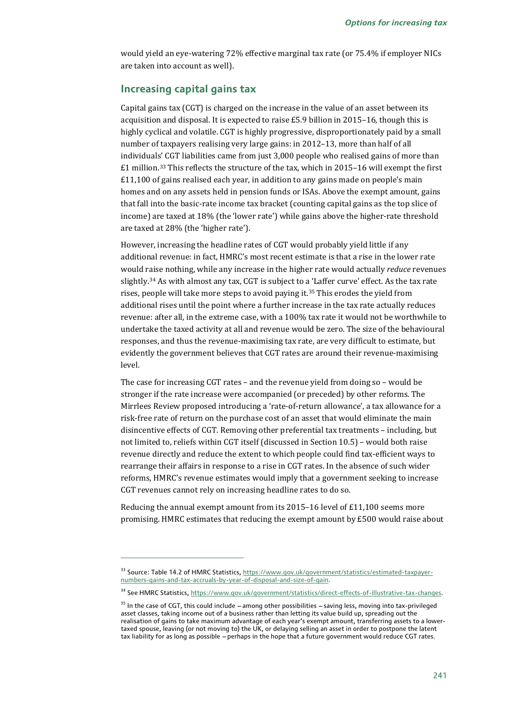would yield an eye-watering 72% effective marginal tax rate (or 75.4% if employer NICs are taken into account as well).

### **Increasing capital gains tax**

Capital gains tax (CGT) is charged on the increase in the value of an asset between its acquisition and disposal. It is expected to raise £5.9 billion in 2015–16, though this is highly cyclical and volatile. CGT is highly progressive, disproportionately paid by a small number of taxpayers realising very large gains: in 2012–13, more than half of all individuals' CGT liabilities came from just 3,000 people who realised gains of more than £1 million.[33](#page-14-0) This reflects the structure of the tax, which in 2015–16 will exempt the first £11,100 of gains realised each year, in addition to any gains made on people's main homes and on any assets held in pension funds or ISAs. Above the exempt amount, gains that fall into the basic-rate income tax bracket (counting capital gains as the top slice of income) are taxed at 18% (the 'lower rate') while gains above the higher-rate threshold are taxed at 28% (the 'higher rate').

However, increasing the headline rates of CGT would probably yield little if any additional revenue: in fact, HMRC's most recent estimate is that a rise in the lower rate would r[ais](#page-14-1)e nothing, while any increase in the higher rate would actually *reduce* revenues slightly. <sup>34</sup> As with almost any tax, CGT is subject to a 'Laffer curve' effect. As the tax rate rises, people will take more steps to avoid paying it.[35](#page-14-2) This erodes the yield from additional rises until the point where a further increase in the tax rate actually reduces revenue: after all, in the extreme case, with a 100% tax rate it would not be worthwhile to undertake the taxed activity at all and revenue would be zero. The size of the behavioural responses, and thus the revenue-maximising tax rate, are very difficult to estimate, but evidently the government believes that CGT rates are around their revenue-maximising level.

The case for increasing CGT rates – and the revenue yield from doing so – would be stronger if the rate increase were accompanied (or preceded) by other reforms. The Mirrlees Review proposed introducing a 'rate-of-return allowance', a tax allowance for a risk-free rate of return on the purchase cost of an asset that would eliminate the main disincentive effects of CGT. Removing other preferential tax treatments – including, but not limited to, reliefs within CGT itself (discussed in Section 10.5) – would both raise revenue directly and reduce the extent to which people could find tax-efficient ways to rearrange their affairs in response to a rise in CGT rates. In the absence of such wider reforms, HMRC's revenue estimates would imply that a government seeking to increase CGT revenues cannot rely on increasing headline rates to do so.

Reducing the annual exempt amount from its 2015–16 level of £11,100 seems more promising. HMRC estimates that reducing the exempt amount by £500 would raise about

<span id="page-14-0"></span><sup>&</sup>lt;sup>33</sup> Source: Table 14.2 of HMRC Statistics[, https://www.gov.uk/government/statistics/estimated-taxpayer](https://www.gov.uk/government/statistics/estimated-taxpayer-numbers-gains-and-tax-accruals-by-year-of-disposal-and-size-of-gain)[numbers-gains-and-tax-accruals-by-year-of-disposal-and-size-of-gain.](https://www.gov.uk/government/statistics/estimated-taxpayer-numbers-gains-and-tax-accruals-by-year-of-disposal-and-size-of-gain)

<span id="page-14-1"></span><sup>&</sup>lt;sup>34</sup> See HMRC Statistics[, https://www.gov.uk/government/statistics/direct-effects-of-illustrative-tax-changes.](https://www.gov.uk/government/statistics/direct-effects-of-illustrative-tax-changes)

<span id="page-14-2"></span> $35$  In the case of CGT, this could include  $-$  among other possibilities  $-$  saving less, moving into tax-privileged asset classes, taking income out of a business rather than letting its value build up, spreading out the realisation of gains to take maximum advantage of each year's exempt amount, transferring assets to a lowertaxed spouse, leaving (or not moving to) the UK, or delaying selling an asset in order to postpone the latent tax liability for as long as possible - perhaps in the hope that a future government would reduce CGT rates.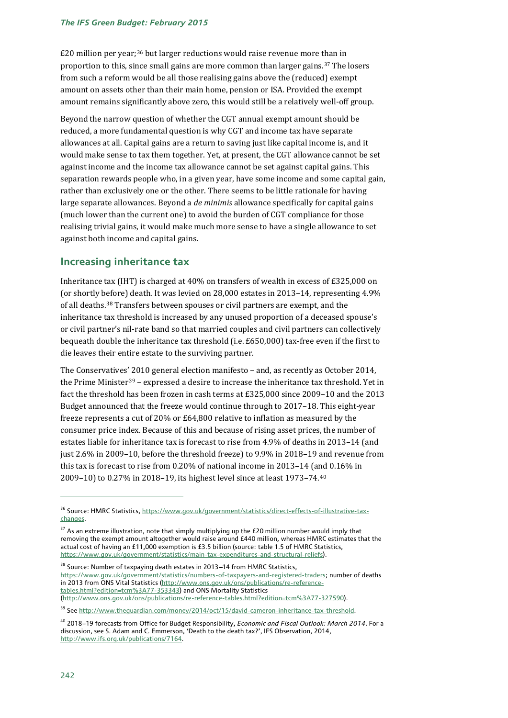£20 million per year;[36](#page-15-0) but larger reductions would raise revenue more than in proportion to this, since small gains are more common than larger gains.<sup>[37](#page-15-1)</sup> The losers from such a reform would be all those realising gains above the (reduced) exempt amount on assets other than their main home, pension or ISA. Provided the exempt amount remains significantly above zero, this would still be a relatively well-off group.

Beyond the narrow question of whether the CGT annual exempt amount should be reduced, a more fundamental question is why CGT and income tax have separate allowances at all. Capital gains are a return to saving just like capital income is, and it would make sense to tax them together. Yet, at present, the CGT allowance cannot be set against income and the income tax allowance cannot be set against capital gains. This separation rewards people who, in a given year, have some income and some capital gain, rather than exclusively one or the other. There seems to be little rationale for having large separate allowances. Beyond a *de minimis* allowance specifically for capital gains (much lower than the current one) to avoid the burden of CGT compliance for those realising trivial gains, it would make much more sense to have a single allowance to set against both income and capital gains.

### **Increasing inheritance tax**

Inheritance tax (IHT) is charged at 40% on transfers of wealth in excess of £325,000 on (or shortly before) death. It was levied on 28,000 estates in 2013–14, representing 4.9% of all deaths.[38](#page-15-2) Transfers between spouses or civil partners are exempt, and the inheritance tax threshold is increased by any unused proportion of a deceased spouse's or civil partner's nil-rate band so that married couples and civil partners can collectively bequeath double the inheritance tax threshold (i.e. £650,000) tax-free even if the first to die leaves their entire estate to the surviving partner.

The Conservatives' 2010 general election manifesto – and, as recently as October 2014, the Prime Minister[39](#page-15-3) – expressed a desire to increase the inheritance tax threshold. Yet in fact the threshold has been frozen in cash terms at £325,000 since 2009–10 and the 2013 Budget announced that the freeze would continue through to 2017–18. This eight-year freeze represents a cut of 20% or £64,800 relative to inflation as measured by the consumer price index. Because of this and because of rising asset prices, the number of estates liable for inheritance tax is forecast to rise from 4.9% of deaths in 2013–14 (and just 2.6% in 2009–10, before the threshold freeze) to 9.9% in 2018–19 and revenue from this tax is forecast to rise from 0.20% of national income in 2013–14 (and 0.16% in 2009–10) to 0.27% in 2018–19, its highest level since at least 1973–74.[40](#page-15-4)

<span id="page-15-0"></span><sup>&</sup>lt;sup>36</sup> Source: HMRC Statistics[, https://www.gov.uk/government/statistics/direct-effects-of-illustrative-tax](https://www.gov.uk/government/statistics/direct-effects-of-illustrative-tax-changes)[changes.](https://www.gov.uk/government/statistics/direct-effects-of-illustrative-tax-changes)

<span id="page-15-1"></span><sup>&</sup>lt;sup>37</sup> As an extreme illustration, note that simply multiplying up the £20 million number would imply that removing the exempt amount altogether would raise around £440 million, whereas HMRC estimates that the actual cost of having an £11,000 exemption is £3.5 billion (source: table 1.5 of HMRC Statistics, [https://www.gov.uk/government/statistics/main-tax-expenditures-and-structural-reliefs\).](https://www.gov.uk/government/statistics/main-tax-expenditures-and-structural-reliefs)

<span id="page-15-2"></span><sup>&</sup>lt;sup>38</sup> Source: Number of taxpaying death estates in 2013-14 from HMRC Statistics, [https://www.gov.uk/government/statistics/numbers-of-taxpayers-and-registered-traders;](https://www.gov.uk/government/statistics/numbers-of-taxpayers-and-registered-traders) number of deaths in 2013 from ONS Vital Statistics [\(http://www.ons.gov.uk/ons/publications/re-reference](http://www.ons.gov.uk/ons/publications/re-reference-tables.html?edition=tcm%3A77-353343)[tables.html?edition=tcm%3A77-353343\)](http://www.ons.gov.uk/ons/publications/re-reference-tables.html?edition=tcm%3A77-353343) and ONS Mortality Statistics [\(http://www.ons.gov.uk/ons/publications/re-reference-tables.html?edition=tcm%3A77-327590\)](http://www.ons.gov.uk/ons/publications/re-reference-tables.html?edition=tcm%3A77-327590).

<span id="page-15-3"></span><sup>&</sup>lt;sup>39</sup> Se[e http://www.theguardian.com/money/2014/oct/15/david-cameron-inheritance-tax-threshold.](http://www.theguardian.com/money/2014/oct/15/david-cameron-inheritance-tax-threshold)

<span id="page-15-4"></span><sup>&</sup>lt;sup>40</sup> 2018-19 forecasts from Office for Budget Responsibility, *Economic and Fiscal Outlook: March 2014*. For a discussion, see S. Adam and C. Emmerson, 'Death to the death tax?', IFS Observation, 2014, [http://www.ifs.org.uk/publications/7164.](http://www.ifs.org.uk/publications/7164)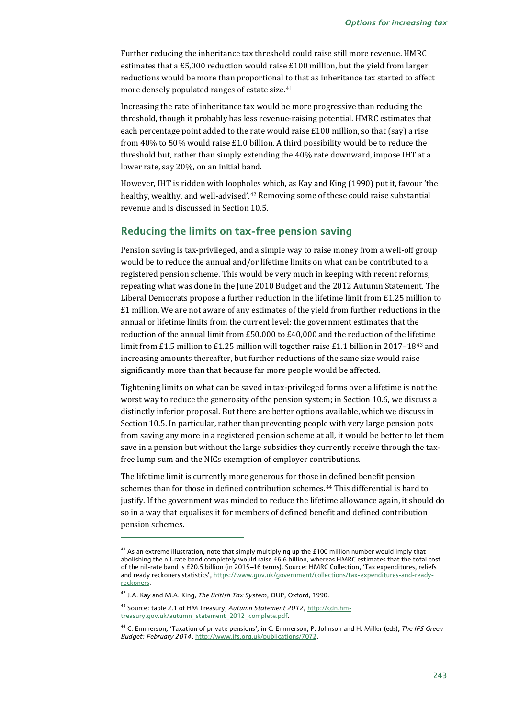Further reducing the inheritance tax threshold could raise still more revenue. HMRC estimates that a £5,000 reduction would raise  $£100$  million, but the yield from larger reductions would be more than proportional to that as inheritance tax started to affect more densely populated ranges of estate size.[41](#page-16-0)

Increasing the rate of inheritance tax would be more progressive than reducing the threshold, though it probably has less revenue-raising potential. HMRC estimates that each percentage point added to the rate would raise £100 million, so that (say) a rise from 40% to 50% would raise £1.0 billion. A third possibility would be to reduce the threshold but, rather than simply extending the 40% rate downward, impose IHT at a lower rate, say 20%, on an initial band.

However, IHT is ridden with loopholes which, as Kay and King (1990) put it, favour 'the healthy, wealthy, and well-advised'.[42](#page-16-1) Removing some of these could raise substantial revenue and is discussed in Section 10.5.

### **Reducing the limits on tax-free pension saving**

Pension saving is tax-privileged, and a simple way to raise money from a well-off group would be to reduce the annual and/or lifetime limits on what can be contributed to a registered pension scheme. This would be very much in keeping with recent reforms, repeating what was done in the June 2010 Budget and the 2012 Autumn Statement. The Liberal Democrats propose a further reduction in the lifetime limit from £1.25 million to £1 million. We are not aware of any estimates of the yield from further reductions in the annual or lifetime limits from the current level; the government estimates that the reduction of the annual limit from £50,000 to £40,000 and the reduction of the lifetime limit from £1.5 million to £1.25 million will together raise £1.1 billion in 2017–18<sup>[43](#page-16-2)</sup> and increasing amounts thereafter, but further reductions of the same size would raise significantly more than that because far more people would be affected.

Tightening limits on what can be saved in tax-privileged forms over a lifetime is not the worst way to reduce the generosity of the pension system; in Section 10.6, we discuss a distinctly inferior proposal. But there are better options available, which we discuss in Section 10.5. In particular, rather than preventing people with very large pension pots from saving any more in a registered pension scheme at all, it would be better to let them save in a pension but without the large subsidies they currently receive through the taxfree lump sum and the NICs exemption of employer contributions.

The lifetime limit is currently more generous for those in defined benefit pension schemes than for those in defined contribution schemes.[44](#page-16-3) This differential is hard to justify. If the government was minded to reduce the lifetime allowance again, it should do so in a way that equalises it for members of defined benefit and defined contribution pension schemes.

<span id="page-16-0"></span> $41$  As an extreme illustration, note that simply multiplying up the £100 million number would imply that abolishing the nil-rate band completely would raise £6.6 billion, whereas HMRC estimates that the total cost of the nil-rate band is £20.5 billion (in 2015-16 terms). Source: HMRC Collection, 'Tax expenditures, reliefs and ready reckoners statistics'[, https://www.gov.uk/government/collections/tax-expenditures-and-ready](https://www.gov.uk/government/collections/tax-expenditures-and-ready-reckoners)[reckoners.](https://www.gov.uk/government/collections/tax-expenditures-and-ready-reckoners)

<span id="page-16-1"></span><sup>42</sup> J.A. Kay and M.A. King, *The British Tax System*, OUP, Oxford, 1990.

<span id="page-16-2"></span><sup>43</sup> Source: table 2.1 of HM Treasury, *Autumn Statement 2012*[, http://cdn.hm](http://cdn.hm-treasury.gov.uk/autumn_statement_2012_complete.pdf)[treasury.gov.uk/autumn\\_statement\\_2012\\_complete.pdf.](http://cdn.hm-treasury.gov.uk/autumn_statement_2012_complete.pdf)

<span id="page-16-3"></span><sup>44</sup> C. Emmerson, 'Taxation of private pensions', in C. Emmerson, P. Johnson and H. Miller (eds), *The IFS Green Budget: February 2014*[, http://www.ifs.org.uk/publications/7072.](http://www.ifs.org.uk/publications/7072)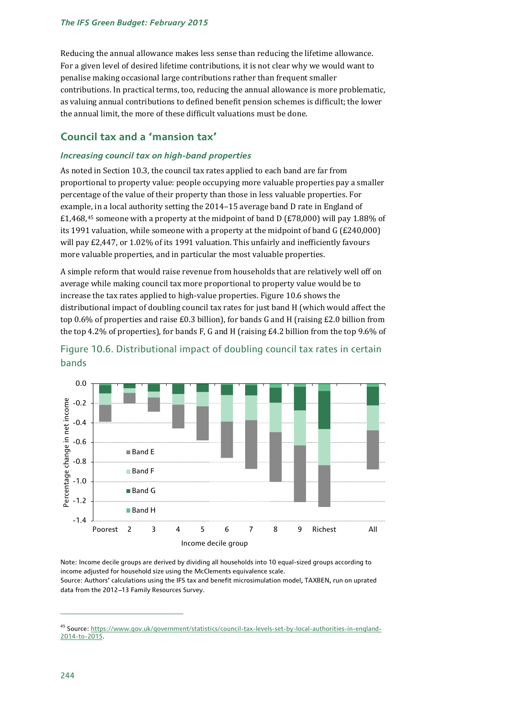Reducing the annual allowance makes less sense than reducing the lifetime allowance. For a given level of desired lifetime contributions, it is not clear why we would want to penalise making occasional large contributions rather than frequent smaller contributions. In practical terms, too, reducing the annual allowance is more problematic, as valuing annual contributions to defined benefit pension schemes is difficult; the lower the annual limit, the more of these difficult valuations must be done.

### **Council tax and a 'mansion tax'**

### *Increasing council tax on high-band properties*

As noted in Section 10.3, the council tax rates applied to each band are far from proportional to property value: people occupying more valuable properties pay a smaller percentage of the value of their property than those in less valuable properties. For example, in a local authority setting the 2014–15 average band D rate in England of £1,468,<sup>[45](#page-17-0)</sup> someone with a property at the midpoint of band D (£78,000) will pay 1.88% of its 1991 valuation, while someone with a property at the midpoint of band G (£240,000) will pay £2,447, or 1.02% of its 1991 valuation. This unfairly and inefficiently favours more valuable properties, and in particular the most valuable properties.

A simple reform that would raise revenue from households that are relatively well off on average while making council tax more proportional to property value would be to increase the tax rates applied to high-value properties. Figure 10.6 shows the distributional impact of doubling council tax rates for just band H (which would affect the top 0.6% of properties and raise £0.3 billion), for bands G and H (raising £2.0 billion from the top 4.2% of properties), for bands F, G and H (raising £4.2 billion from the top 9.6% of





Note: Income decile groups are derived by dividing all households into 10 equal-sized groups according to income adjusted for household size using the McClements equivalence scale.

Source: Authors' calculations using the IFS tax and benefit microsimulation model, TAXBEN, run on uprated data from the 2012-13 Family Resources Survey.

<span id="page-17-0"></span><sup>45</sup> Source[: https://www.gov.uk/government/statistics/council-tax-levels-set-by-local-authorities-in-england-](https://www.gov.uk/government/statistics/council-tax-levels-set-by-local-authorities-in-england-2014-to-2015)[2014-to-2015.](https://www.gov.uk/government/statistics/council-tax-levels-set-by-local-authorities-in-england-2014-to-2015)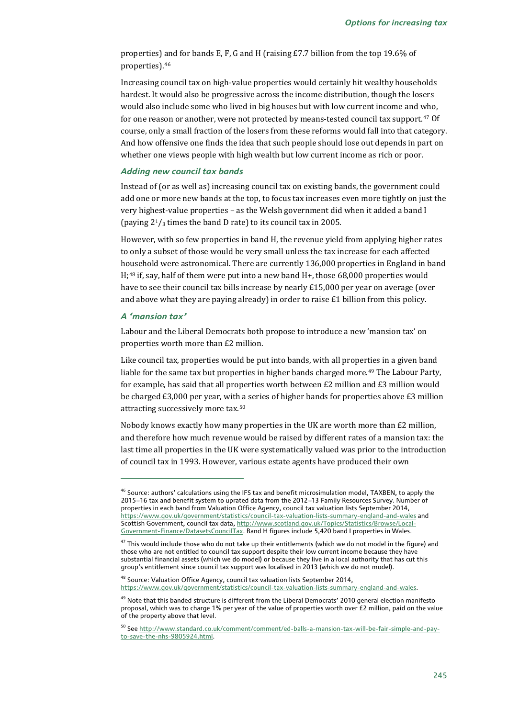properties) and for bands E, F, G and H (raising £7.7 billion from the top 19.6% of properties).[46](#page-18-0)

Increasing council tax on high-value properties would certainly hit wealthy households hardest. It would also be progressive across the income distribution, though the losers would also include some who lived in big houses but with low current income and who, for one reason or another, were not protected by means-tested council tax support.[47](#page-18-1) Of course, only a small fraction of the losers from these reforms would fall into that category. And how offensive one finds the idea that such people should lose out depends in part on whether one views people with high wealth but low current income as rich or poor.

#### *Adding new council tax bands*

Instead of (or as well as) increasing council tax on existing bands, the government could add one or more new bands at the top, to focus tax increases even more tightly on just the very highest-value properties – as the Welsh government did when it added a band I (paying  $2^{1}/3$  times the band D rate) to its council tax in 2005.

However, with so few properties in band H, the revenue yield from applying higher rates to only a subset of those would be very small unless the tax increase for each affected household were astronomical. There are currently 136,000 properties in England in band H;[48](#page-18-2) if, say, half of them were put into a new band H+, those 68,000 properties would have to see their council tax bills increase by nearly £15,000 per year on average (over and above what they are paying already) in order to raise  $£1$  billion from this policy.

### *A 'mansion tax'*

j

Labour and the Liberal Democrats both propose to introduce a new 'mansion tax' on properties worth more than £2 million.

Like council tax, properties would be put into bands, with all properties in a given band liable for the same tax but properties in higher bands charged more.<sup>[49](#page-18-3)</sup> The Labour Party, for example, has said that all properties worth between £2 million and £3 million would be charged £3,000 per year, with a series of higher bands for properties above £3 million attracting successively more tax.[50](#page-18-4)

Nobody knows exactly how many properties in the UK are worth more than £2 million, and therefore how much revenue would be raised by different rates of a mansion tax: the last time all properties in the UK were systematically valued was prior to the introduction of council tax in 1993. However, various estate agents have produced their own

<span id="page-18-0"></span><sup>&</sup>lt;sup>46</sup> Source: authors' calculations using the IFS tax and benefit microsimulation model, TAXBEN, to apply the 2015-16 tax and benefit system to uprated data from the 2012-13 Family Resources Survey. Number of properties in each band from Valuation Office Agency, council tax valuation lists September 2014, <https://www.gov.uk/government/statistics/council-tax-valuation-lists-summary-england-and-wales> and Scottish Government, council tax data, [http://www.scotland.gov.uk/Topics/Statistics/Browse/Local-](http://www.scotland.gov.uk/Topics/Statistics/Browse/Local-Government-Finance/DatasetsCouncilTax)[Government-Finance/DatasetsCouncilTax.](http://www.scotland.gov.uk/Topics/Statistics/Browse/Local-Government-Finance/DatasetsCouncilTax) Band H figures include 5,420 band I properties in Wales.

<span id="page-18-1"></span> $47$  This would include those who do not take up their entitlements (which we do not model in the figure) and those who are not entitled to council tax support despite their low current income because they have substantial financial assets (which we do model) or because they live in a local authority that has cut this group's entitlement since council tax support was localised in 2013 (which we do not model).

<span id="page-18-2"></span><sup>48</sup> Source: Valuation Office Agency, council tax valuation lists September 2014, [https://www.gov.uk/government/statistics/council-tax-valuation-lists-summary-england-and-wales.](https://www.gov.uk/government/statistics/council-tax-valuation-lists-summary-england-and-wales)

<span id="page-18-3"></span><sup>&</sup>lt;sup>49</sup> Note that this banded structure is different from the Liberal Democrats' 2010 general election manifesto proposal, which was to charge 1% per year of the value of properties worth over £2 million, paid on the value of the property above that level.

<span id="page-18-4"></span><sup>50</sup> Se[e http://www.standard.co.uk/comment/comment/ed-balls-a-mansion-tax-will-be-fair-simple-and-pay](http://www.standard.co.uk/comment/comment/ed-balls-a-mansion-tax-will-be-fair-simple-and-pay-to-save-the-nhs-9805924.html)[to-save-the-nhs-9805924.html.](http://www.standard.co.uk/comment/comment/ed-balls-a-mansion-tax-will-be-fair-simple-and-pay-to-save-the-nhs-9805924.html)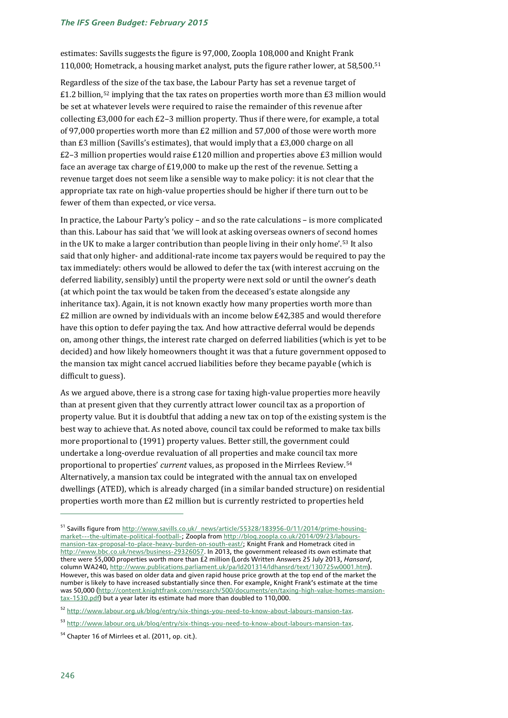#### *The IFS Green Budget: February 2015*

estimates: Savills suggests the figure is 97,000, Zoopla 108,000 and Knight Frank 110,000; Hometrack, a housing market analyst, puts the figure rather lower, at 58,500.[51](#page-19-0)

Regardless of the size of the tax base, the Labour Party has set a revenue target of £1.2 billion,<sup>[52](#page-19-1)</sup> implying that the tax rates on properties worth more than £3 million would be set at whatever levels were required to raise the remainder of this revenue after collecting £3,000 for each £2–3 million property. Thus if there were, for example, a total of 97,000 properties worth more than £2 million and 57,000 of those were worth more than £3 million (Savills's estimates), that would imply that a £3,000 charge on all  $E2-3$  million properties would raise £120 million and properties above £3 million would face an average tax charge of £19,000 to make up the rest of the revenue. Setting a revenue target does not seem like a sensible way to make policy: it is not clear that the appropriate tax rate on high-value properties should be higher if there turn out to be fewer of them than expected, or vice versa.

In practice, the Labour Party's policy – and so the rate calculations – is more complicated than this. Labour has said that 'we will look at asking overseas owners of second homes in the UK to make a larger contribution than people living in their only home'.[53](#page-19-2) It also said that only higher- and additional-rate income tax payers would be required to pay the tax immediately: others would be allowed to defer the tax (with interest accruing on the deferred liability, sensibly) until the property were next sold or until the owner's death (at which point the tax would be taken from the deceased's estate alongside any inheritance tax). Again, it is not known exactly how many properties worth more than £2 million are owned by individuals with an income below £42,385 and would therefore have this option to defer paying the tax. And how attractive deferral would be depends on, among other things, the interest rate charged on deferred liabilities (which is yet to be decided) and how likely homeowners thought it was that a future government opposed to the mansion tax might cancel accrued liabilities before they became payable (which is difficult to guess).

As we argued above, there is a strong case for taxing high-value properties more heavily than at present given that they currently attract lower council tax as a proportion of property value. But it is doubtful that adding a new tax on top of the existing system is the best way to achieve that. As noted above, council tax could be reformed to make tax bills more proportional to (1991) property values. Better still, the government could undertake a long-overdue revaluation of all properties and make council tax more proportional to properties' *current* values, as proposed in the Mirrlees Review.[54](#page-19-3) Alternatively, a mansion tax could be integrated with the annual tax on enveloped dwellings (ATED), which is already charged (in a similar banded structure) on residential properties worth more than £2 million but is currently restricted to properties held

<span id="page-19-0"></span><sup>51</sup> Savills figure fro[m http://www.savills.co.uk/\\_news/article/55328/183956-0/11/2014/prime-housing](http://www.savills.co.uk/_news/article/55328/183956-0/11/2014/prime-housing-market---the-ultimate-political-football-)[market---the-ultimate-political-football-;](http://www.savills.co.uk/_news/article/55328/183956-0/11/2014/prime-housing-market---the-ultimate-political-football-) Zoopla fro[m http://blog.zoopla.co.uk/2014/09/23/labours](http://blog.zoopla.co.uk/2014/09/23/labours-mansion-tax-proposal-to-place-heavy-burden-on-south-east/)[mansion-tax-proposal-to-place-heavy-burden-on-south-east/;](http://blog.zoopla.co.uk/2014/09/23/labours-mansion-tax-proposal-to-place-heavy-burden-on-south-east/) Knight Frank and Hometrack cited in [http://www.bbc.co.uk/news/business-29326057.](http://www.bbc.co.uk/news/business-29326057) In 2013, the government released its own estimate that there were 55,000 properties worth more than £2 million (Lords Written Answers 25 July 2013, *Hansard*, column WA240, [http://www.publications.parliament.uk/pa/ld201314/ldhansrd/text/130725w0001.htm\)](http://www.publications.parliament.uk/pa/ld201314/ldhansrd/text/130725w0001.htm). However, this was based on older data and given rapid house price growth at the top end of the market the number is likely to have increased substantially since then. For example, Knight Frank's estimate at the time was 50,000 [\(http://content.knightfrank.com/research/500/documents/en/taxing-high-value-homes-mansion](http://content.knightfrank.com/research/500/documents/en/taxing-high-value-homes-mansion-tax-1530.pdf)[tax-1530.pdf\)](http://content.knightfrank.com/research/500/documents/en/taxing-high-value-homes-mansion-tax-1530.pdf) but a year later its estimate had more than doubled to 110,000.

<span id="page-19-1"></span><sup>52</sup> [http://www.labour.org.uk/blog/entry/six-things-you-need-to-know-about-labours-mansion-tax.](http://www.labour.org.uk/blog/entry/six-things-you-need-to-know-about-labours-mansion-tax)

<span id="page-19-2"></span><sup>53</sup> [http://www.labour.org.uk/blog/entry/six-things-you-need-to-know-about-labours-mansion-tax.](http://www.labour.org.uk/blog/entry/six-things-you-need-to-know-about-labours-mansion-tax)

<span id="page-19-3"></span><sup>&</sup>lt;sup>54</sup> Chapter 16 of Mirrlees et al. (2011, op. cit.).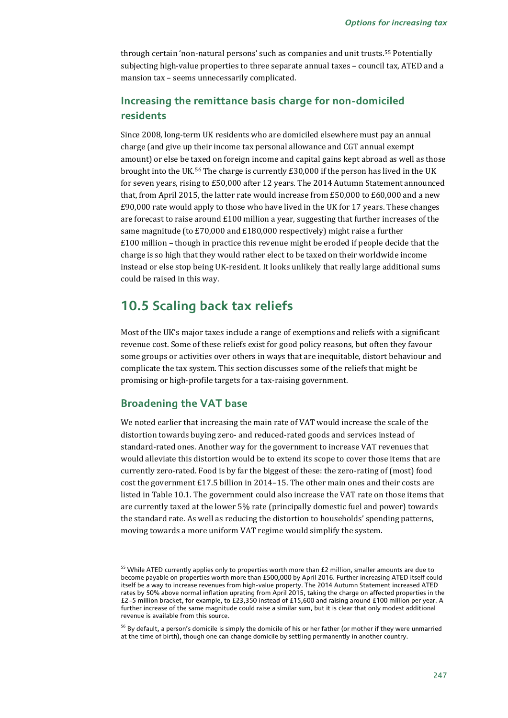through certain 'non-natural persons' such as companies and unit trusts.[55](#page-20-0) Potentially subjecting high-value properties to three separate annual taxes – council tax, ATED and a mansion tax – seems unnecessarily complicated.

### **Increasing the remittance basis charge for non-domiciled residents**

Since 2008, long-term UK residents who are domiciled elsewhere must pay an annual charge (and give up their income tax personal allowance and CGT annual exempt amount) or else be taxed on foreign income and capital gains kept abroad as well as those brought into the UK.[56](#page-20-1) The charge is currently £30,000 if the person has lived in the UK for seven years, rising to £50,000 after 12 years. The 2014 Autumn Statement announced that, from April 2015, the latter rate would increase from £50,000 to £60,000 and a new £90,000 rate would apply to those who have lived in the UK for 17 years. These changes are forecast to raise around £100 million a year, suggesting that further increases of the same magnitude (to £70,000 and £180,000 respectively) might raise a further £100 million – though in practice this revenue might be eroded if people decide that the charge is so high that they would rather elect to be taxed on their worldwide income instead or else stop being UK-resident. It looks unlikely that really large additional sums could be raised in this way.

## **10.5 Scaling back tax reliefs**

Most of the UK's major taxes include a range of exemptions and reliefs with a significant revenue cost. Some of these reliefs exist for good policy reasons, but often they favour some groups or activities over others in ways that are inequitable, distort behaviour and complicate the tax system. This section discusses some of the reliefs that might be promising or high-profile targets for a tax-raising government.

### **Broadening the VAT base**

j

We noted earlier that increasing the main rate of VAT would increase the scale of the distortion towards buying zero- and reduced-rated goods and services instead of standard-rated ones. Another way for the government to increase VAT revenues that would alleviate this distortion would be to extend its scope to cover those items that are currently zero-rated. Food is by far the biggest of these: the zero-rating of (most) food cost the government £17.5 billion in 2014–15. The other main ones and their costs are listed in Table 10.1. The government could also increase the VAT rate on those items that are currently taxed at the lower 5% rate (principally domestic fuel and power) towards the standard rate. As well as reducing the distortion to households' spending patterns, moving towards a more uniform VAT regime would simplify the system.

<span id="page-20-0"></span><sup>&</sup>lt;sup>55</sup> While ATED currently applies only to properties worth more than £2 million, smaller amounts are due to become payable on properties worth more than £500,000 by April 2016. Further increasing ATED itself could itself be a way to increase revenues from high-value property. The 2014 Autumn Statement increased ATED rates by 50% above normal inflation uprating from April 2015, taking the charge on affected properties in the £2-5 million bracket, for example, to £23,350 instead of £15,600 and raising around £100 million per year. A further increase of the same magnitude could raise a similar sum, but it is clear that only modest additional revenue is available from this source.

<span id="page-20-1"></span><sup>&</sup>lt;sup>56</sup> By default, a person's domicile is simply the domicile of his or her father (or mother if they were unmarried at the time of birth), though one can change domicile by settling permanently in another country.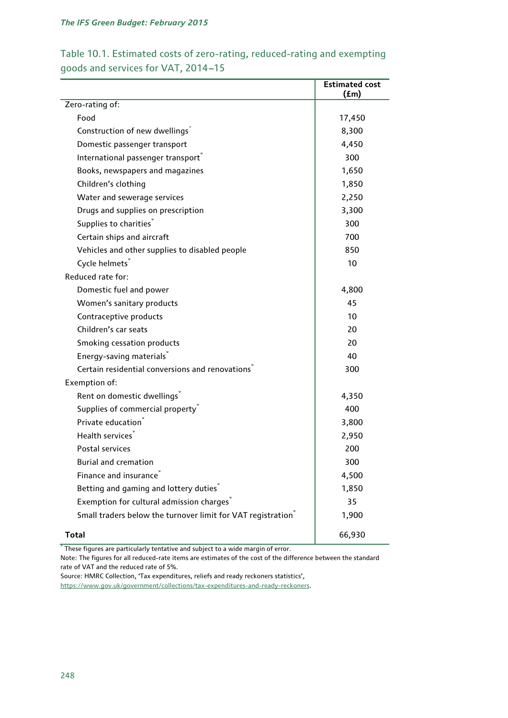### Table 10.1. Estimated costs of zero-rating, reduced-rating and exempting goods and services for VAT, 2014-15

|                                                                          | <b>Estimated cost</b><br>(fm) |
|--------------------------------------------------------------------------|-------------------------------|
| Zero-rating of:                                                          |                               |
| Food                                                                     | 17,450                        |
| Construction of new dwellings"                                           | 8,300                         |
| Domestic passenger transport                                             | 4,450                         |
| International passenger transport®                                       | 300                           |
| Books, newspapers and magazines                                          | 1,650                         |
| Children's clothing                                                      | 1,850                         |
| Water and sewerage services                                              | 2,250                         |
| Drugs and supplies on prescription                                       | 3,300                         |
| Supplies to charities"                                                   | 300                           |
| Certain ships and aircraft                                               | 700                           |
| Vehicles and other supplies to disabled people                           | 850                           |
| Cycle helmets <sup>®</sup>                                               | 10                            |
| Reduced rate for:                                                        |                               |
| Domestic fuel and power                                                  | 4,800                         |
| Women's sanitary products                                                | 45                            |
| Contraceptive products                                                   | 10                            |
| Children's car seats                                                     | 20                            |
| Smoking cessation products                                               | 20                            |
| Energy-saving materials"                                                 | 40                            |
| Certain residential conversions and renovations <sup>1</sup>             | 300                           |
| Exemption of:                                                            |                               |
| Rent on domestic dwellings                                               | 4,350                         |
| Supplies of commercial property                                          | 400                           |
| Private education <sup>®</sup>                                           | 3,800                         |
| Health services <sup>®</sup>                                             | 2,950                         |
| Postal services                                                          | 200                           |
| <b>Burial and cremation</b>                                              | 300                           |
| Finance and insurance <sup>®</sup>                                       | 4,500                         |
| Betting and gaming and lottery duties"                                   | 1,850                         |
| Exemption for cultural admission charges                                 | 35                            |
| Small traders below the turnover limit for VAT registration <sup>®</sup> | 1,900                         |
| <b>Total</b>                                                             | 66,930                        |

\* These figures are particularly tentative and subject to a wide margin of error.

Note: The figures for all reduced-rate items are estimates of the cost of the difference between the standard rate of VAT and the reduced rate of 5%.

Source: HMRC Collection, 'Tax expenditures, reliefs and ready reckoners statistics',

[https://www.gov.uk/government/collections/tax-expenditures-and-ready-reckoners.](https://www.gov.uk/government/collections/tax-expenditures-and-ready-reckoners)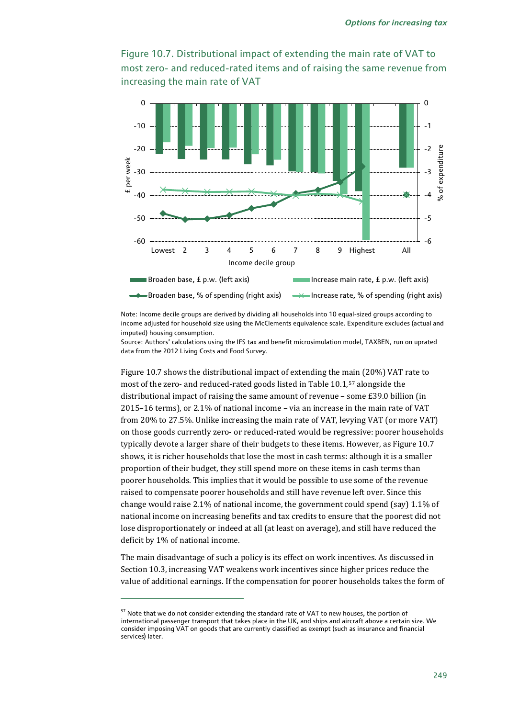



Note: Income decile groups are derived by dividing all households into 10 equal-sized groups according to income adjusted for household size using the McClements equivalence scale. Expenditure excludes (actual and imputed) housing consumption.

Source: Authors' calculations using the IFS tax and benefit microsimulation model, TAXBEN, run on uprated data from the 2012 Living Costs and Food Survey.

Figure 10.7 shows the distributional impact of extending the main (20%) VAT rate to most of the zero- and reduced-rated goods listed in Table 10.1,[57](#page-22-0) alongside the distributional impact of raising the same amount of revenue – some £39.0 billion (in 2015–16 terms), or 2.1% of national income – via an increase in the main rate of VAT from 20% to 27.5%. Unlike increasing the main rate of VAT, levying VAT (or more VAT) on those goods currently zero- or reduced-rated would be regressive: poorer households typically devote a larger share of their budgets to these items. However, as Figure 10.7 shows, it is richer households that lose the most in cash terms: although it is a smaller proportion of their budget, they still spend more on these items in cash terms than poorer households. This implies that it would be possible to use some of the revenue raised to compensate poorer households and still have revenue left over. Since this change would raise 2.1% of national income, the government could spend (say) 1.1% of national income on increasing benefits and tax credits to ensure that the poorest did not lose disproportionately or indeed at all (at least on average), and still have reduced the deficit by 1% of national income.

The main disadvantage of such a policy is its effect on work incentives. As discussed in Section 10.3, increasing VAT weakens work incentives since higher prices reduce the value of additional earnings. If the compensation for poorer households takes the form of

<span id="page-22-0"></span><sup>&</sup>lt;sup>57</sup> Note that we do not consider extending the standard rate of VAT to new houses, the portion of international passenger transport that takes place in the UK, and ships and aircraft above a certain size. We consider imposing VAT on goods that are currently classified as exempt (such as insurance and financial services) later.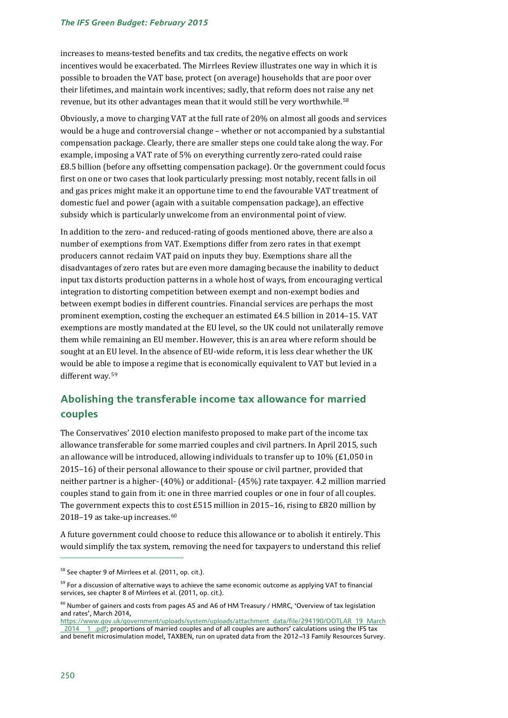#### *The IFS Green Budget: February 2015*

increases to means-tested benefits and tax credits, the negative effects on work incentives would be exacerbated. The Mirrlees Review illustrates one way in which it is possible to broaden the VAT base, protect (on average) households that are poor over their lifetimes, and maintain work incentives; sadly, that reform does not raise any net revenue, but its other advantages mean that it would still be very worthwhile.[58](#page-23-0)

Obviously, a move to charging VAT at the full rate of 20% on almost all goods and services would be a huge and controversial change – whether or not accompanied by a substantial compensation package. Clearly, there are smaller steps one could take along the way. For example, imposing a VAT rate of 5% on everything currently zero-rated could raise £8.5 billion (before any offsetting compensation package). Or the government could focus first on one or two cases that look particularly pressing: most notably, recent falls in oil and gas prices might make it an opportune time to end the favourable VAT treatment of domestic fuel and power (again with a suitable compensation package), an effective subsidy which is particularly unwelcome from an environmental point of view.

In addition to the zero- and reduced-rating of goods mentioned above, there are also a number of exemptions from VAT. Exemptions differ from zero rates in that exempt producers cannot reclaim VAT paid on inputs they buy. Exemptions share all the disadvantages of zero rates but are even more damaging because the inability to deduct input tax distorts production patterns in a whole host of ways, from encouraging vertical integration to distorting competition between exempt and non-exempt bodies and between exempt bodies in different countries. Financial services are perhaps the most prominent exemption, costing the exchequer an estimated  $E4.5$  billion in 2014–15. VAT exemptions are mostly mandated at the EU level, so the UK could not unilaterally remove them while remaining an EU member. However, this is an area where reform should be sought at an EU level. In the absence of EU-wide reform, it is less clear whether the UK would be able to impose a regime that is economically equivalent to VAT but levied in a different way.[59](#page-23-1)

### **Abolishing the transferable income tax allowance for married couples**

The Conservatives' 2010 election manifesto proposed to make part of the income tax allowance transferable for some married couples and civil partners. In April 2015, such an allowance will be introduced, allowing individuals to transfer up to  $10\%$  (£1,050 in 2015–16) of their personal allowance to their spouse or civil partner, provided that neither partner is a higher- (40%) or additional- (45%) rate taxpayer. 4.2 million married couples stand to gain from it: one in three married couples or one in four of all couples. The government expects this t[o c](#page-23-2)ost £515 million in 2015–16, rising to £820 million by  $2018$ – $19$  as take-up increases. $^{60}$ 

A future government could choose to reduce this allowance or to abolish it entirely. This would simplify the tax system, removing the need for taxpayers to understand this relief

<span id="page-23-0"></span><sup>&</sup>lt;sup>58</sup> See chapter 9 of Mirrlees et al. (2011, op. cit.).

<span id="page-23-1"></span><sup>&</sup>lt;sup>59</sup> For a discussion of alternative ways to achieve the same economic outcome as applying VAT to financial services, see chapter 8 of Mirrlees et al. (2011, op. cit.).

<span id="page-23-2"></span> $^{60}$  Number of gainers and costs from pages A5 and A6 of HM Treasury / HMRC, 'Overview of tax legislation and rates', March 2014,

[https://www.gov.uk/government/uploads/system/uploads/attachment\\_data/file/294190/OOTLAR\\_19\\_March](https://www.gov.uk/government/uploads/system/uploads/attachment_data/file/294190/OOTLAR_19_March_2014__1_.pdf) [\\_2014\\_\\_1\\_.pdf;](https://www.gov.uk/government/uploads/system/uploads/attachment_data/file/294190/OOTLAR_19_March_2014__1_.pdf) proportions of married couples and of all couples are authors' calculations using the IFS tax and benefit microsimulation model, TAXBEN, run on uprated data from the 2012-13 Family Resources Survey.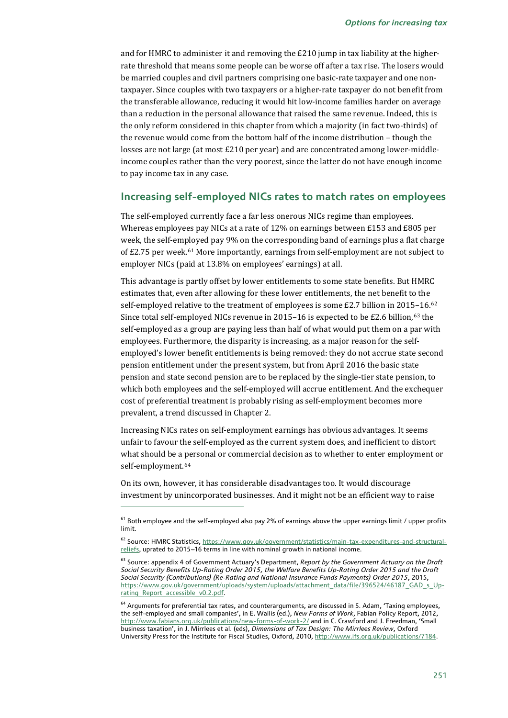and for HMRC to administer it and removing the £210 jump in tax liability at the higherrate threshold that means some people can be worse off after a tax rise. The losers would be married couples and civil partners comprising one basic-rate taxpayer and one nontaxpayer. Since couples with two taxpayers or a higher-rate taxpayer do not benefit from the transferable allowance, reducing it would hit low-income families harder on average than a reduction in the personal allowance that raised the same revenue. Indeed, this is the only reform considered in this chapter from which a majority (in fact two-thirds) of the revenue would come from the bottom half of the income distribution – though the losses are not large (at most £210 per year) and are concentrated among lower-middleincome couples rather than the very poorest, since the latter do not have enough income to pay income tax in any case.

### **Increasing self-employed NICs rates to match rates on employees**

The self-employed currently face a far less onerous NICs regime than employees. Whereas employees pay NICs at a rate of 12% on earnings between £153 and £805 per week, the self-employed pay 9% on the corresponding band of earnings plus a flat charge of  $E2.75$  per week.<sup>[61](#page-24-0)</sup> More importantly, earnings from self-employment are not subject to employer NICs (paid at 13.8% on employees' earnings) at all.

This advantage is partly offset by lower entitlements to some state benefits. But HMRC estimates that, even after allowing for these lower entitlements, the net benefit to the self-employed relative to the treatment of employees is some £2.7 billion in 201[5–1](#page-24-2)6.<sup>[62](#page-24-1)</sup> Since total self-employed NICs revenue in 2015–16 is expected to be £2.6 billion, $63$  the self-employed as a group are paying less than half of what would put them on a par with employees. Furthermore, the disparity is increasing, as a major reason for the selfemployed's lower benefit entitlements is being removed: they do not accrue state second pension entitlement under the present system, but from April 2016 the basic state pension and state second pension are to be replaced by the single-tier state pension, to which both employees and the self-employed will accrue entitlement. And the exchequer cost of preferential treatment is probably rising as self-employment becomes more prevalent, a trend discussed in Chapter 2.

Increasing NICs rates on self-employment earnings has obvious advantages. It seems unfair to favour the self-employed as the current system does, and inefficient to distort what should be a personal or commercial decision as to whether to enter employment or self-employment.<sup>[64](#page-24-3)</sup>

On its own, however, it has considerable disadvantages too. It would discourage investment by unincorporated businesses. And it might not be an efficient way to raise

<span id="page-24-0"></span> $61$  Both employee and the self-employed also pay 2% of earnings above the upper earnings limit / upper profits limit.

<span id="page-24-1"></span><sup>62</sup> Source: HMRC Statistics[, https://www.gov.uk/government/statistics/main-tax-expenditures-and-structural](https://www.gov.uk/government/statistics/main-tax-expenditures-and-structural-reliefs)[reliefs,](https://www.gov.uk/government/statistics/main-tax-expenditures-and-structural-reliefs) uprated to 2015-16 terms in line with nominal growth in national income.

<span id="page-24-2"></span><sup>63</sup> Source: appendix 4 of Government Actuary's Department, *Report by the Government Actuary on the Draft Social Security Benefits Up-Rating Order 2015, the Welfare Benefits Up-Rating Order 2015 and the Draft Social Security (Contributions) (Re-Rating and National Insurance Funds Payments) Order 2015*, 2015, [https://www.gov.uk/government/uploads/system/uploads/attachment\\_data/file/396524/46187\\_GAD\\_s\\_Up](https://www.gov.uk/government/uploads/system/uploads/attachment_data/file/396524/46187_GAD_s_Up-rating_Report_accessible_v0.2.pdf)[rating\\_Report\\_accessible\\_v0.2.pdf.](https://www.gov.uk/government/uploads/system/uploads/attachment_data/file/396524/46187_GAD_s_Up-rating_Report_accessible_v0.2.pdf)

<span id="page-24-3"></span><sup>&</sup>lt;sup>64</sup> Arguments for preferential tax rates, and counterarguments, are discussed in S. Adam, 'Taxing employees, the self-employed and small companies', in E. Wallis (ed.), *New Forms of Work*, Fabian Policy Report, 2012, <http://www.fabians.org.uk/publications/new-forms-of-work-2/> and in C. Crawford and J. Freedman, 'Small business taxation', in J. Mirrlees et al. (eds), *Dimensions of Tax Design: The Mirrlees Review*, Oxford University Press for the Institute for Fiscal Studies, Oxford, 2010, [http://www.ifs.org.uk/publications/7184.](http://www.ifs.org.uk/publications/7184)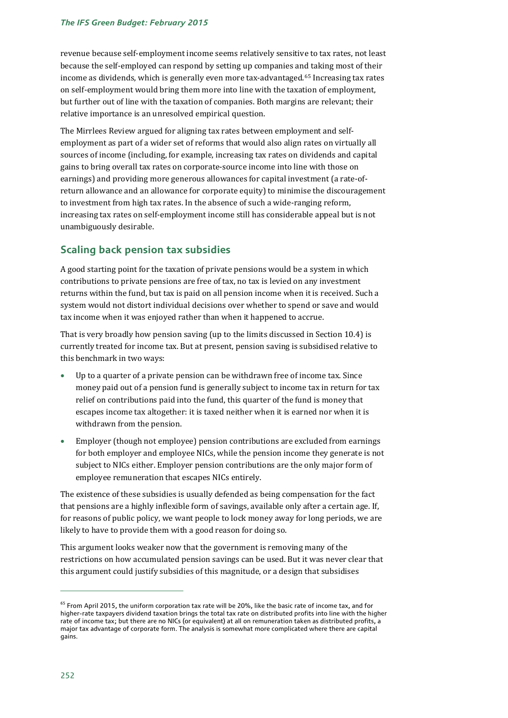revenue because self-employment income seems relatively sensitive to tax rates, not least because the self-employed can respond by setting up companies and taking most of their income as dividends, which is generally even more tax-advantaged.[65](#page-25-0) Increasing tax rates on self-employment would bring them more into line with the taxation of employment, but further out of line with the taxation of companies. Both margins are relevant; their relative importance is an unresolved empirical question.

The Mirrlees Review argued for aligning tax rates between employment and selfemployment as part of a wider set of reforms that would also align rates on virtually all sources of income (including, for example, increasing tax rates on dividends and capital gains to bring overall tax rates on corporate-source income into line with those on earnings) and providing more generous allowances for capital investment (a rate-ofreturn allowance and an allowance for corporate equity) to minimise the discouragement to investment from high tax rates. In the absence of such a wide-ranging reform, increasing tax rates on self-employment income still has considerable appeal but is not unambiguously desirable.

### **Scaling back pension tax subsidies**

A good starting point for the taxation of private pensions would be a system in which contributions to private pensions are free of tax, no tax is levied on any investment returns within the fund, but tax is paid on all pension income when it is received. Such a system would not distort individual decisions over whether to spend or save and would tax income when it was enjoyed rather than when it happened to accrue.

That is very broadly how pension saving (up to the limits discussed in Section 10.4) is currently treated for income tax. But at present, pension saving is subsidised relative to this benchmark in two ways:

- Up to a quarter of a private pension can be withdrawn free of income tax. Since money paid out of a pension fund is generally subject to income tax in return for tax relief on contributions paid into the fund, this quarter of the fund is money that escapes income tax altogether: it is taxed neither when it is earned nor when it is withdrawn from the pension.
- Employer (though not employee) pension contributions are excluded from earnings for both employer and employee NICs, while the pension income they generate is not subject to NICs either. Employer pension contributions are the only major form of employee remuneration that escapes NICs entirely.

The existence of these subsidies is usually defended as being compensation for the fact that pensions are a highly inflexible form of savings, available only after a certain age. If, for reasons of public policy, we want people to lock money away for long periods, we are likely to have to provide them with a good reason for doing so.

This argument looks weaker now that the government is removing many of the restrictions on how accumulated pension savings can be used. But it was never clear that this argument could justify subsidies of this magnitude, or a design that subsidises

<span id="page-25-0"></span><sup>&</sup>lt;sup>65</sup> From April 2015, the uniform corporation tax rate will be 20%, like the basic rate of income tax, and for higher-rate taxpayers dividend taxation brings the total tax rate on distributed profits into line with the higher rate of income tax; but there are no NICs (or equivalent) at all on remuneration taken as distributed profits, a major tax advantage of corporate form. The analysis is somewhat more complicated where there are capital gains.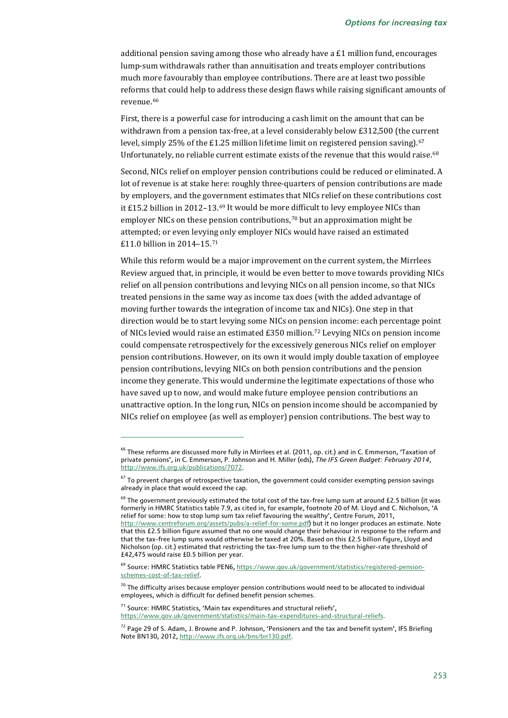additional pension saving among those who already have a £1 million fund, encourages lump-sum withdrawals rather than annuitisation and treats employer contributions much more favourably than employee contributions. There are at least two possible reforms that could help to address these design flaws while raising significant amounts of revenue.[66](#page-26-0)

First, there is a powerful case for introducing a cash limit on the amount that can be withdrawn from a pension tax-free, at a level considerably below £312,500 (the current level, simply 25% of the £1.25 million lifetime limit on registered pension saving).<sup>[67](#page-26-1)</sup> Unfortunately, no reliable current estimate exists of the revenue that this would raise.<sup>[68](#page-26-2)</sup>

Second, NICs relief on employer pension contributions could be reduced or eliminated. A lot of revenue is at stake here: roughly three-quarters of pension contributions are made by employers, and the government estimates that NICs relief on these contributions cost it £15.2 billion in 2012–13.[69](#page-26-3) It would be more difficult to levy employee NICs than employer NICs on these pension contributions,<sup>[70](#page-26-4)</sup> but an approximation might be attempted; or even levying only employer NICs would have raised an estimated £11.0 billion in 2014–15.[71](#page-26-5)

While this reform would be a major improvement on the current system, the Mirrlees Review argued that, in principle, it would be even better to move towards providing NICs relief on all pension contributions and levying NICs on all pension income, so that NICs treated pensions in the same way as income tax does (with the added advantage of moving further towards the integration of income tax and NICs). One step in that direction would be to start levying some NICs on pension income: each percentage point of NICs levied would raise an estimated £350 million.[72](#page-26-6) Levying NICs on pension income could compensate retrospectively for the excessively generous NICs relief on employer pension contributions. However, on its own it would imply double taxation of employee pension contributions, levying NICs on both pension contributions and the pension income they generate. This would undermine the legitimate expectations of those who have saved up to now, and would make future employee pension contributions an unattractive option. In the long run, NICs on pension income should be accompanied by NICs relief on employee (as well as employer) pension contributions. The best way to

<span id="page-26-0"></span> $^{66}$  These reforms are discussed more fully in Mirrlees et al. (2011, op. cit.) and in C. Emmerson, 'Taxation of private pensions', in C. Emmerson, P. Johnson and H. Miller (eds), *The IFS Green Budget: February 2014*, [http://www.ifs.org.uk/publications/7072.](http://www.ifs.org.uk/publications/7072)

<span id="page-26-1"></span> $67$  To prevent charges of retrospective taxation, the government could consider exempting pension savings already in place that would exceed the cap.

<span id="page-26-2"></span><sup>&</sup>lt;sup>68</sup> The aovernment previously estimated the total cost of the tax-free lump sum at around £2.5 billion (it was formerly in HMRC Statistics table 7.9, as cited in, for example, footnote 20 of M. Lloyd and C. Nicholson, 'A relief for some: how to stop lump sum tax relief favouring the wealthy', Centre Forum, 2011, [http://www.centreforum.org/assets/pubs/a-relief-for-some.pdf\)](http://www.centreforum.org/assets/pubs/a-relief-for-some.pdf) but it no longer produces an estimate. Note that this £2.5 billion figure assumed that no one would change their behaviour in response to the reform and that the tax-free lump sums would otherwise be taxed at 20%. Based on this £2.5 billion figure, Lloyd and Nicholson (op. cit.) estimated that restricting the tax-free lump sum to the then higher-rate threshold of £42,475 would raise £0.5 billion per year.

<span id="page-26-3"></span><sup>&</sup>lt;sup>69</sup> Source: HMRC Statistics table PEN6[, https://www.gov.uk/government/statistics/registered-pension](https://www.gov.uk/government/statistics/registered-pension-schemes-cost-of-tax-relief)[schemes-cost-of-tax-relief.](https://www.gov.uk/government/statistics/registered-pension-schemes-cost-of-tax-relief)

<span id="page-26-4"></span> $70$  The difficulty arises because employer pension contributions would need to be allocated to individual employees, which is difficult for defined benefit pension schemes.

<span id="page-26-5"></span> $71$  Source: HMRC Statistics, 'Main tax expenditures and structural reliefs', [https://www.gov.uk/government/statistics/main-tax-expenditures-and-structural-reliefs.](https://www.gov.uk/government/statistics/main-tax-expenditures-and-structural-reliefs)

<span id="page-26-6"></span><sup>&</sup>lt;sup>72</sup> Page 29 of S. Adam, J. Browne and P. Johnson, 'Pensioners and the tax and benefit system', IFS Briefing Note BN130, 2012[, http://www.ifs.org.uk/bns/bn130.pdf.](http://www.ifs.org.uk/bns/bn130.pdf)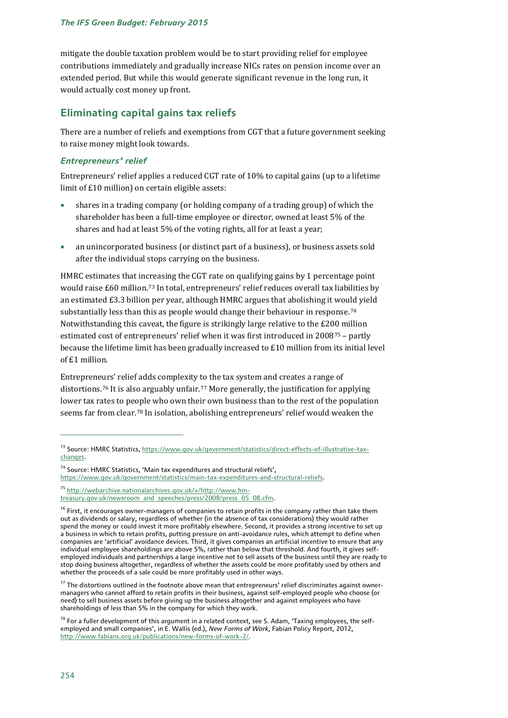mitigate the double taxation problem would be to start providing relief for employee contributions immediately and gradually increase NICs rates on pension income over an extended period. But while this would generate significant revenue in the long run, it would actually cost money up front.

### **Eliminating capital gains tax reliefs**

There are a number of reliefs and exemptions from CGT that a future government seeking to raise money might look towards.

### *Entrepreneurs' relief*

Entrepreneurs' relief applies a reduced CGT rate of 10% to capital gains (up to a lifetime limit of £10 million) on certain eligible assets:

- shares in a trading company (or holding company of a trading group) of which the shareholder has been a full-time employee or director, owned at least 5% of the shares and had at least 5% of the voting rights, all for at least a year;
- an unincorporated business (or distinct part of a business), or business assets sold after the individual stops carrying on the business.

HMRC estimates that increasing the CGT rate on qualifying gains by 1 percentage point would raise £60 million.[73](#page-27-0) In total, entrepreneurs' relief reduces overall tax liabilities by an estimated £3.3 billion per year, although HMRC argues that abolishing it would yield substantially less than this as people would change their behaviour in response.<sup>[74](#page-27-1)</sup> Notwithstanding this caveat, the figure is strikingly large relative to the £200 million estimated cost of entrepreneurs' relief when it was first introduced in 2008[75](#page-27-2) – partly because the lifetime limit has been gradually increased to £10 million from its initial level of £1 million.

Entrepreneurs' relief adds complexity to the tax system and creates a range of distortions.[76](#page-27-3) It is also arguably unfair.[77](#page-27-4) More generally, the justification for applying lower tax rates to people who own their own business than to the rest of the population seems far from clear.[78](#page-27-5) In isolation, abolishing entrepreneurs' relief would weaken the

<span id="page-27-0"></span><sup>73</sup> Source: HMRC Statistics[, https://www.gov.uk/government/statistics/direct-effects-of-illustrative-tax](https://www.gov.uk/government/statistics/direct-effects-of-illustrative-tax-changes)[changes.](https://www.gov.uk/government/statistics/direct-effects-of-illustrative-tax-changes)

<span id="page-27-1"></span><sup>&</sup>lt;sup>74</sup> Source: HMRC Statistics, 'Main tax expenditures and structural reliefs',

[https://www.gov.uk/government/statistics/main-tax-expenditures-and-structural-reliefs.](https://www.gov.uk/government/statistics/main-tax-expenditures-and-structural-reliefs)

<span id="page-27-2"></span><sup>75</sup> [http://webarchive.nationalarchives.gov.uk/+/http://www.hm](http://webarchive.nationalarchives.gov.uk/+/http:/www.hm-treasury.gov.uk/newsroom_and_speeches/press/2008/press_05_08.cfm)[treasury.gov.uk/newsroom\\_and\\_speeches/press/2008/press\\_05\\_08.cfm.](http://webarchive.nationalarchives.gov.uk/+/http:/www.hm-treasury.gov.uk/newsroom_and_speeches/press/2008/press_05_08.cfm)

<span id="page-27-3"></span> $76$  First, it encourages owner-managers of companies to retain profits in the company rather than take them out as dividends or salary, regardless of whether (in the absence of tax considerations) they would rather spend the money or could invest it more profitably elsewhere. Second, it provides a strong incentive to set up a business in which to retain profits, putting pressure on anti-avoidance rules, which attempt to define when companies are 'artificial' avoidance devices. Third, it gives companies an artificial incentive to ensure that any individual employee shareholdings are above 5%, rather than below that threshold. And fourth, it gives selfemployed individuals and partnerships a large incentive not to sell assets of the business until they are ready to stop doing business altogether, regardless of whether the assets could be more profitably used by others and whether the proceeds of a sale could be more profitably used in other ways.

<span id="page-27-4"></span> $77$  The distortions outlined in the footnote above mean that entrepreneurs' relief discriminates against ownermanagers who cannot afford to retain profits in their business, against self-employed people who choose (or need) to sell business assets before giving up the business altogether and against employees who have shareholdings of less than 5% in the company for which they work.

<span id="page-27-5"></span> $78$  For a fuller development of this argument in a related context, see S. Adam, 'Taxing employees, the selfemployed and small companies', in E. Wallis (ed.), *New Forms of Work*, Fabian Policy Report, 2012, [http://www.fabians.org.uk/publications/new-forms-of-work-2/.](http://www.fabians.org.uk/publications/new-forms-of-work-2/)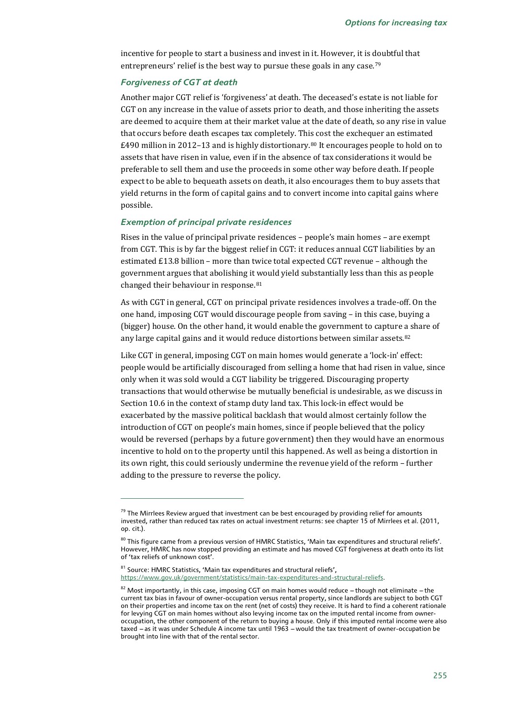incentive for people to start a business and invest in it. However, it is doubtful that entrepreneurs' relief is the best way to pursue these goals in any case.<sup>[79](#page-28-0)</sup>

#### *Forgiveness of CGT at death*

Another major CGT relief is 'forgiveness' at death. The deceased's estate is not liable for CGT on any increase in the value of assets prior to death, and those inheriting the assets are deemed to acquire them at their market value at the date of death, so any rise in value that occurs before death escapes tax completely. This cost the exchequer an estimated £490 million in 2012–13 and is highly distortionary.<sup>[80](#page-28-1)</sup> It encourages people to hold on to assets that have risen in value, even if in the absence of tax considerations it would be preferable to sell them and use the proceeds in some other way before death. If people expect to be able to bequeath assets on death, it also encourages them to buy assets that yield returns in the form of capital gains and to convert income into capital gains where possible.

#### *Exemption of principal private residences*

j

Rises in the value of principal private residences – people's main homes – are exempt from CGT. This is by far the biggest relief in CGT: it reduces annual CGT liabilities by an estimated £13.8 billion – more than twice total expected CGT revenue – although the government argues that abolishing it would yield substantially less than this as people changed their behaviour in response.<sup>[81](#page-28-2)</sup>

As with CGT in general, CGT on principal private residences involves a trade-off. On the one hand, imposing CGT would discourage people from saving – in this case, buying a (bigger) house. On the other hand, it would enable the government to capture a share of any large capital gains and it would reduce distortions between similar assets.<sup>[82](#page-28-3)</sup>

Like CGT in general, imposing CGT on main homes would generate a 'lock-in' effect: people would be artificially discouraged from selling a home that had risen in value, since only when it was sold would a CGT liability be triggered. Discouraging property transactions that would otherwise be mutually beneficial is undesirable, as we discuss in Section 10.6 in the context of stamp duty land tax. This lock-in effect would be exacerbated by the massive political backlash that would almost certainly follow the introduction of CGT on people's main homes, since if people believed that the policy would be reversed (perhaps by a future government) then they would have an enormous incentive to hold on to the property until this happened. As well as being a distortion in its own right, this could seriously undermine the revenue yield of the reform – further adding to the pressure to reverse the policy.

<span id="page-28-2"></span> $81$  Source: HMRC Statistics, 'Main tax expenditures and structural reliefs', [https://www.gov.uk/government/statistics/main-tax-expenditures-and-structural-reliefs.](https://www.gov.uk/government/statistics/main-tax-expenditures-and-structural-reliefs)

<span id="page-28-0"></span> $79$  The Mirrlees Review argued that investment can be best encouraged by providing relief for amounts invested, rather than reduced tax rates on actual investment returns: see chapter 15 of Mirrlees et al. (2011, op. cit.).

<span id="page-28-1"></span> $80$  This figure came from a previous version of HMRC Statistics, 'Main tax expenditures and structural reliefs'. However, HMRC has now stopped providing an estimate and has moved CGT forgiveness at death onto its list of 'tax reliefs of unknown cost'.

<span id="page-28-3"></span> $82$  Most importantly, in this case, imposing CGT on main homes would reduce - though not eliminate - the current tax bias in favour of owner-occupation versus rental property, since landlords are subject to both CGT on their properties and income tax on the rent (net of costs) they receive. It is hard to find a coherent rationale for levying CGT on main homes without also levying income tax on the imputed rental income from owneroccupation, the other component of the return to buying a house. Only if this imputed rental income were also taxed  $-$  as it was under Schedule A income tax until 1963 - would the tax treatment of owner-occupation be brought into line with that of the rental sector.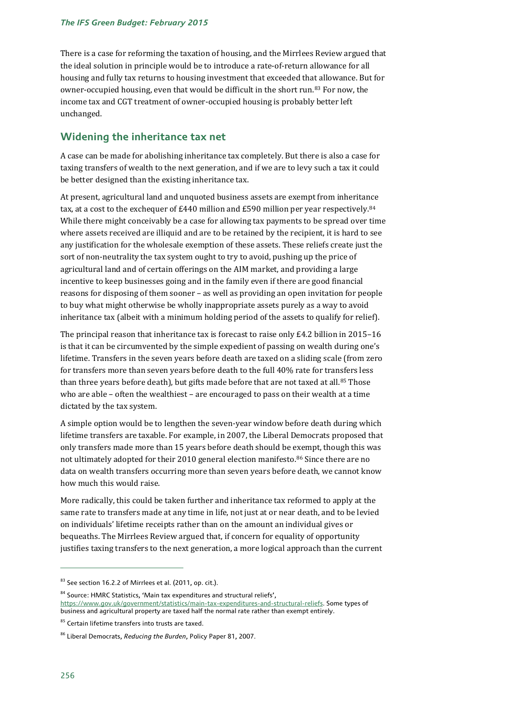There is a case for reforming the taxation of housing, and the Mirrlees Review argued that the ideal solution in principle would be to introduce a rate-of-return allowance for all housing and fully tax returns to housing investment that exceeded that allowance. But for owner-occupied housing, even that would be difficult in the short run.[83](#page-29-0) For now, the income tax and CGT treatment of owner-occupied housing is probably better left unchanged.

### **Widening the inheritance tax net**

A case can be made for abolishing inheritance tax completely. But there is also a case for taxing transfers of wealth to the next generation, and if we are to levy such a tax it could be better designed than the existing inheritance tax.

At present, agricultural land and unquoted business assets are exempt from inheritance tax, at a cost to the exchequer of £440 million and £590 million per year respectively.<sup>[84](#page-29-1)</sup> While there might conceivably be a case for allowing tax payments to be spread over time where assets received are illiquid and are to be retained by the recipient, it is hard to see any justification for the wholesale exemption of these assets. These reliefs create just the sort of non-neutrality the tax system ought to try to avoid, pushing up the price of agricultural land and of certain offerings on the AIM market, and providing a large incentive to keep businesses going and in the family even if there are good financial reasons for disposing of them sooner – as well as providing an open invitation for people to buy what might otherwise be wholly inappropriate assets purely as a way to avoid inheritance tax (albeit with a minimum holding period of the assets to qualify for relief).

The principal reason that inheritance tax is forecast to raise only £4.2 billion in 2015–16 is that it can be circumvented by the simple expedient of passing on wealth during one's lifetime. Transfers in the seven years before death are taxed on a sliding scale (from zero for transfers more than seven years before death to the full 40% rate for transfers less than three years before death), but gifts made before that are not taxed at all.<sup>[85](#page-29-2)</sup> Those who are able – often the wealthiest – are encouraged to pass on their wealth at a time dictated by the tax system.

A simple option would be to lengthen the seven-year window before death during which lifetime transfers are taxable. For example, in 2007, the Liberal Democrats proposed that only transfers made more than 15 years before death should be exempt, though this was not ultimately adopted for their 2010 general election manifesto.[86](#page-29-3) Since there are no data on wealth transfers occurring more than seven years before death, we cannot know how much this would raise.

More radically, this could be taken further and inheritance tax reformed to apply at the same rate to transfers made at any time in life, not just at or near death, and to be levied on individuals' lifetime receipts rather than on the amount an individual gives or bequeaths. The Mirrlees Review argued that, if concern for equality of opportunity justifies taxing transfers to the next generation, a more logical approach than the current

<span id="page-29-0"></span><sup>&</sup>lt;sup>83</sup> See section 16.2.2 of Mirrlees et al. (2011, op. cit.).

<span id="page-29-1"></span><sup>&</sup>lt;sup>84</sup> Source: HMRC Statistics, 'Main tax expenditures and structural reliefs', [https://www.gov.uk/government/statistics/main-tax-expenditures-and-structural-reliefs.](https://www.gov.uk/government/statistics/main-tax-expenditures-and-structural-reliefs) Some types of business and agricultural property are taxed half the normal rate rather than exempt entirely.

<span id="page-29-2"></span><sup>85</sup> Certain lifetime transfers into trusts are taxed.

<span id="page-29-3"></span><sup>86</sup> Liberal Democrats, *Reducing the Burden*, Policy Paper 81, 2007.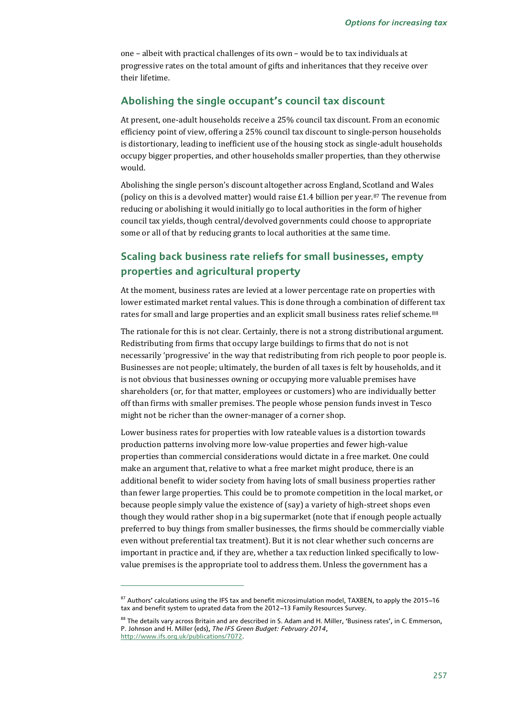one – albeit with practical challenges of its own – would be to tax individuals at progressive rates on the total amount of gifts and inheritances that they receive over their lifetime.

### **Abolishing the single occupant's council tax discount**

At present, one-adult households receive a 25% council tax discount. From an economic efficiency point of view, offering a 25% council tax discount to single-person households is distortionary, leading to inefficient use of the housing stock as single-adult households occupy bigger properties, and other households smaller properties, than they otherwise would.

Abolishing the single person's discount altogether across England, Scotland and Wales (policy on this is a devolved matter) would raise £1.4 billion per year. $87$  The revenue from reducing or abolishing it would initially go to local authorities in the form of higher council tax yields, though central/devolved governments could choose to appropriate some or all of that by reducing grants to local authorities at the same time.

### **Scaling back business rate reliefs for small businesses, empty properties and agricultural property**

At the moment, business rates are levied at a lower percentage rate on properties with lower estimated market rental values. This is done through a combination of different tax rates for small and large properties and an explicit small business rates relief scheme.<sup>[88](#page-30-1)</sup>

The rationale for this is not clear. Certainly, there is not a strong distributional argument. Redistributing from firms that occupy large buildings to firms that do not is not necessarily 'progressive' in the way that redistributing from rich people to poor people is. Businesses are not people; ultimately, the burden of all taxes is felt by households, and it is not obvious that businesses owning or occupying more valuable premises have shareholders (or, for that matter, employees or customers) who are individually better off than firms with smaller premises. The people whose pension funds invest in Tesco might not be richer than the owner-manager of a corner shop.

Lower business rates for properties with low rateable values is a distortion towards production patterns involving more low-value properties and fewer high-value properties than commercial considerations would dictate in a free market. One could make an argument that, relative to what a free market might produce, there is an additional benefit to wider society from having lots of small business properties rather than fewer large properties. This could be to promote competition in the local market, or because people simply value the existence of (say) a variety of high-street shops even though they would rather shop in a big supermarket (note that if enough people actually preferred to buy things from smaller businesses, the firms should be commercially viable even without preferential tax treatment). But it is not clear whether such concerns are important in practice and, if they are, whether a tax reduction linked specifically to lowvalue premises is the appropriate tool to address them. Unless the government has a

<span id="page-30-0"></span> $87$  Authors' calculations using the IFS tax and benefit microsimulation model, TAXBEN, to apply the 2015–16 tax and benefit system to uprated data from the 2012-13 Family Resources Survey.

<span id="page-30-1"></span><sup>88</sup> The details vary across Britain and are described in S. Adam and H. Miller, 'Business rates', in C. Emmerson, P. Johnson and H. Miller (eds), *The IFS Green Budget: February 2014*, [http://www.ifs.org.uk/publications/7072.](http://www.ifs.org.uk/publications/7072)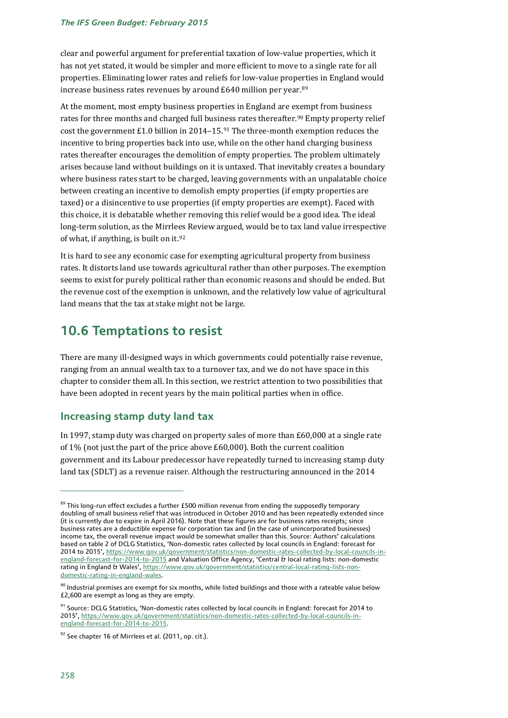#### *The IFS Green Budget: February 2015*

clear and powerful argument for preferential taxation of low-value properties, which it has not yet stated, it would be simpler and more efficient to move to a single rate for all properties. Eliminating lower rates and reliefs for low-value properties in England would increase business rates revenues by around £640 million per year.[89](#page-31-0)

At the moment, most empty business properties in England are exempt from business rates for three months and charged full busi[nes](#page-31-2)s rates thereafter.<sup>[90](#page-31-1)</sup> Empty property relief cost the government £1.0 billion in 2014–15.91 The three-month exemption reduces the incentive to bring properties back into use, while on the other hand charging business rates thereafter encourages the demolition of empty properties. The problem ultimately arises because land without buildings on it is untaxed. That inevitably creates a boundary where business rates start to be charged, leaving governments with an unpalatable choice between creating an incentive to demolish empty properties (if empty properties are taxed) or a disincentive to use properties (if empty properties are exempt). Faced with this choice, it is debatable whether removing this relief would be a good idea. The ideal long-term solution, as the Mirrlees Review argued, would be to tax land value irrespective of what, if anything, is built on it.[92](#page-31-3)

It is hard to see any economic case for exempting agricultural property from business rates. It distorts land use towards agricultural rather than other purposes. The exemption seems to exist for purely political rather than economic reasons and should be ended. But the revenue cost of the exemption is unknown, and the relatively low value of agricultural land means that the tax at stake might not be large.

# **10.6 Temptations to resist**

There are many ill-designed ways in which governments could potentially raise revenue, ranging from an annual wealth tax to a turnover tax, and we do not have space in this chapter to consider them all. In this section, we restrict attention to two possibilities that have been adopted in recent years by the main political parties when in office.

### **Increasing stamp duty land tax**

In 1997, stamp duty was charged on property sales of more than £60,000 at a single rate of 1% (not just the part of the price above £60,000). Both the current coalition government and its Labour predecessor have repeatedly turned to increasing stamp duty land tax (SDLT) as a revenue raiser. Although the restructuring announced in the 2014

<span id="page-31-0"></span><sup>&</sup>lt;sup>89</sup> This long-run effect excludes a further £500 million revenue from ending the supposedly temporary doubling of small business relief that was introduced in October 2010 and has been repeatedly extended since (it is currently due to expire in April 2016). Note that these figures are for business rates receipts; since business rates are a deductible expense for corporation tax and (in the case of unincorporated businesses) income tax, the overall revenue impact would be somewhat smaller than this. Source: Authors' calculations based on table 2 of DCLG Statistics, 'Non-domestic rates collected by local councils in England: forecast for 2014 to 2015'[, https://www.gov.uk/government/statistics/non-domestic-rates-collected-by-local-councils-in](https://www.gov.uk/government/statistics/non-domestic-rates-collected-by-local-councils-in-england-forecast-for-2014-to-2015)[england-forecast-for-2014-to-2015](https://www.gov.uk/government/statistics/non-domestic-rates-collected-by-local-councils-in-england-forecast-for-2014-to-2015) and Valuation Office Agency, 'Central & local rating lists: non-domestic rating in England & Wales'[, https://www.gov.uk/government/statistics/central-local-rating-lists-non](https://www.gov.uk/government/statistics/central-local-rating-lists-non-domestic-rating-in-england-wales)[domestic-rating-in-england-wales.](https://www.gov.uk/government/statistics/central-local-rating-lists-non-domestic-rating-in-england-wales)

<span id="page-31-1"></span> $90$  Industrial premises are exempt for six months, while listed buildings and those with a rateable value below £2,600 are exempt as long as they are empty.

<span id="page-31-2"></span><sup>&</sup>lt;sup>91</sup> Source: DCLG Statistics, 'Non-domestic rates collected by local councils in England: forecast for 2014 to 2015'[, https://www.gov.uk/government/statistics/non-domestic-rates-collected-by-local-councils-in](https://www.gov.uk/government/statistics/non-domestic-rates-collected-by-local-councils-in-england-forecast-for-2014-to-2015)[england-forecast-for-2014-to-2015.](https://www.gov.uk/government/statistics/non-domestic-rates-collected-by-local-councils-in-england-forecast-for-2014-to-2015)

<span id="page-31-3"></span> $92$  See chapter 16 of Mirrlees et al. (2011, op. cit.).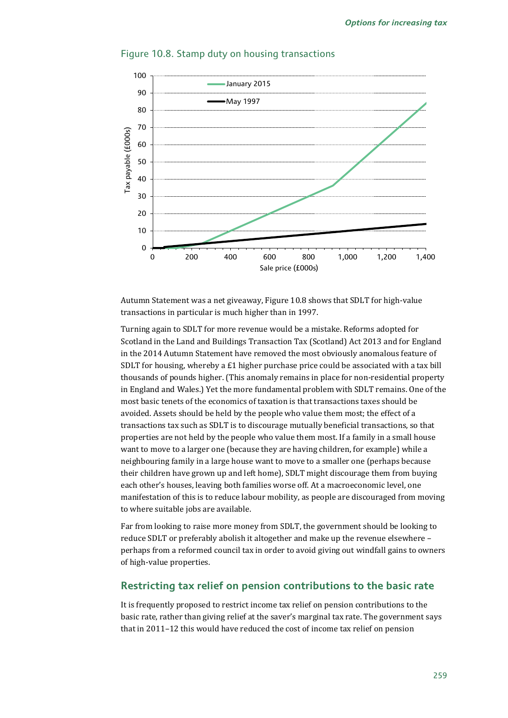

### Figure 10.8. Stamp duty on housing transactions

Autumn Statement was a net giveaway, Figure 10.8 shows that SDLT for high-value transactions in particular is much higher than in 1997.

Turning again to SDLT for more revenue would be a mistake. Reforms adopted for Scotland in the Land and Buildings Transaction Tax (Scotland) Act 2013 and for England in the 2014 Autumn Statement have removed the most obviously anomalous feature of SDLT for housing, whereby a £1 higher purchase price could be associated with a tax bill thousands of pounds higher. (This anomaly remains in place for non-residential property in England and Wales.) Yet the more fundamental problem with SDLT remains. One of the most basic tenets of the economics of taxation is that transactions taxes should be avoided. Assets should be held by the people who value them most; the effect of a transactions tax such as SDLT is to discourage mutually beneficial transactions, so that properties are not held by the people who value them most. If a family in a small house want to move to a larger one (because they are having children, for example) while a neighbouring family in a large house want to move to a smaller one (perhaps because their children have grown up and left home), SDLT might discourage them from buying each other's houses, leaving both families worse off. At a macroeconomic level, one manifestation of this is to reduce labour mobility, as people are discouraged from moving to where suitable jobs are available.

Far from looking to raise more money from SDLT, the government should be looking to reduce SDLT or preferably abolish it altogether and make up the revenue elsewhere – perhaps from a reformed council tax in order to avoid giving out windfall gains to owners of high-value properties.

### **Restricting tax relief on pension contributions to the basic rate**

It is frequently proposed to restrict income tax relief on pension contributions to the basic rate, rather than giving relief at the saver's marginal tax rate. The government says that in 2011–12 this would have reduced the cost of income tax relief on pension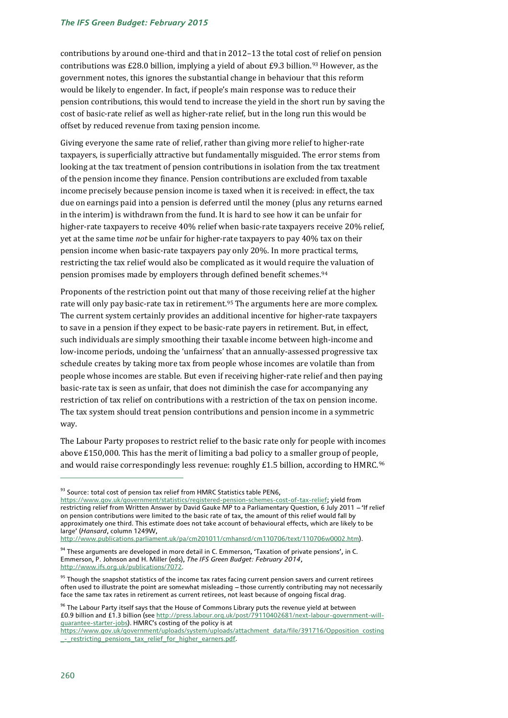#### *The IFS Green Budget: February 2015*

contributions by around one-third and that in 2012–13 the total cost of relief on pension contributions was £28.0 billion, implying a yield of about £9.3 billion.<sup>[93](#page-33-0)</sup> However, as the government notes, this ignores the substantial change in behaviour that this reform would be likely to engender. In fact, if people's main response was to reduce their pension contributions, this would tend to increase the yield in the short run by saving the cost of basic-rate relief as well as higher-rate relief, but in the long run this would be offset by reduced revenue from taxing pension income.

Giving everyone the same rate of relief, rather than giving more relief to higher-rate taxpayers, is superficially attractive but fundamentally misguided. The error stems from looking at the tax treatment of pension contributions in isolation from the tax treatment of the pension income they finance. Pension contributions are excluded from taxable income precisely because pension income is taxed when it is received: in effect, the tax due on earnings paid into a pension is deferred until the money (plus any returns earned in the interim) is withdrawn from the fund. It is hard to see how it can be unfair for higher-rate taxpayers to receive 40% relief when basic-rate taxpayers receive 20% relief, yet at the same time *not* be unfair for higher-rate taxpayers to pay 40% tax on their pension income when basic-rate taxpayers pay only 20%. In more practical terms, restricting the tax relief would also be complicated as it would require the valuation of pension promises made by employers through defined benefit schemes.<sup>[94](#page-33-1)</sup>

Proponents of the restriction point out that many of those receiving relief at the higher rate will only pay basic-rate tax in retirement.[95](#page-33-2) The arguments here are more complex. The current system certainly provides an additional incentive for higher-rate taxpayers to save in a pension if they expect to be basic-rate payers in retirement. But, in effect, such individuals are simply smoothing their taxable income between high-income and low-income periods, undoing the 'unfairness' that an annually-assessed progressive tax schedule creates by taking more tax from people whose incomes are volatile than from people whose incomes are stable. But even if receiving higher-rate relief and then paying basic-rate tax is seen as unfair, that does not diminish the case for accompanying any restriction of tax relief on contributions with a restriction of the tax on pension income. The tax system should treat pension contributions and pension income in a symmetric way.

The Labour Party proposes to restrict relief to the basic rate only for people with incomes above £150,000. This has the merit of limiting a bad policy to a smaller group of people, and would raise correspondingly less revenue: roughly £1.5 billion, according to HMRC. [96](#page-33-3)

<span id="page-33-3"></span> $96$  The Labour Party itself says that the House of Commons Library puts the revenue yield at between £0.9 billion and £1.3 billion (se[e http://press.labour.org.uk/post/79110402681/next-labour-government-will](http://press.labour.org.uk/post/79110402681/next-labour-government-will-guarantee-starter-jobs)[guarantee-starter-jobs\)](http://press.labour.org.uk/post/79110402681/next-labour-government-will-guarantee-starter-jobs). HMRC's costing of the policy is at

<sup>93</sup> Source: total cost of pension tax relief from HMRC Statistics table PEN6,

<span id="page-33-0"></span>[https://www.gov.uk/government/statistics/registered-pension-schemes-cost-of-tax-relief;](https://www.gov.uk/government/statistics/registered-pension-schemes-cost-of-tax-relief) yield from restricting relief from Written Answer by David Gauke MP to a Parliamentary Question, 6 July 2011 - 'If relief on pension contributions were limited to the basic rate of tax, the amount of this relief would fall by approximately one third. This estimate does not take account of behavioural effects, which are likely to be large' (*Hansard*, column 1249W,

[http://www.publications.parliament.uk/pa/cm201011/cmhansrd/cm110706/text/110706w0002.htm\)](http://www.publications.parliament.uk/pa/cm201011/cmhansrd/cm110706/text/110706w0002.htm).

<span id="page-33-1"></span> $94$  These arguments are developed in more detail in C. Emmerson, 'Taxation of private pensions', in C. Emmerson, P. Johnson and H. Miller (eds), *The IFS Green Budget: February 2014*, [http://www.ifs.org.uk/publications/7072.](http://www.ifs.org.uk/publications/7072)

<span id="page-33-2"></span><sup>&</sup>lt;sup>95</sup> Though the snapshot statistics of the income tax rates facing current pension savers and current retirees often used to illustrate the point are somewhat misleading -- those currently contributing may not necessarily face the same tax rates in retirement as current retirees, not least because of ongoing fiscal drag.

[https://www.gov.uk/government/uploads/system/uploads/attachment\\_data/file/391716/Opposition\\_costing](https://www.gov.uk/government/uploads/system/uploads/attachment_data/file/391716/Opposition_costing_-_restricting_pensions_tax_relief_for_higher_earners.pdf) - restricting pensions tax relief for higher earners.pdf.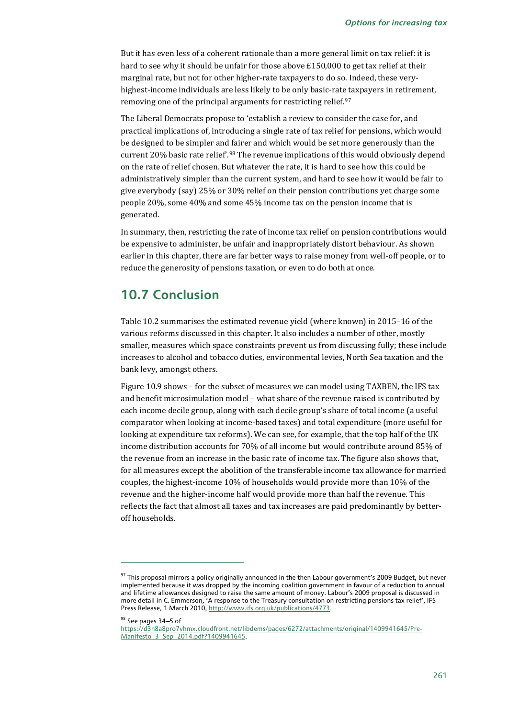But it has even less of a coherent rationale than a more general limit on tax relief: it is hard to see why it should be unfair for those above £150,000 to get tax relief at their marginal rate, but not for other higher-rate taxpayers to do so. Indeed, these veryhighest-income individuals are less likely to be only basic-rate taxpayers in retirement, removing one of the principal arguments for restricting relief.<sup>[97](#page-34-0)</sup>

The Liberal Democrats propose to 'establish a review to consider the case for, and practical implications of, introducing a single rate of tax relief for pensions, which would be designed to be simpler and fairer and which would be set more generously than the current 20% basic rate relief'.[98](#page-34-1) The revenue implications of this would obviously depend on the rate of relief chosen. But whatever the rate, it is hard to see how this could be administratively simpler than the current system, and hard to see how it would be fair to give everybody (say) 25% or 30% relief on their pension contributions yet charge some people 20%, some 40% and some 45% income tax on the pension income that is generated.

In summary, then, restricting the rate of income tax relief on pension contributions would be expensive to administer, be unfair and inappropriately distort behaviour. As shown earlier in this chapter, there are far better ways to raise money from well-off people, or to reduce the generosity of pensions taxation, or even to do both at once.

# **10.7 Conclusion**

Table 10.2 summarises the estimated revenue yield (where known) in 2015–16 of the various reforms discussed in this chapter. It also includes a number of other, mostly smaller, measures which space constraints prevent us from discussing fully; these include increases to alcohol and tobacco duties, environmental levies, North Sea taxation and the bank levy, amongst others.

Figure 10.9 shows – for the subset of measures we can model using TAXBEN, the IFS tax and benefit microsimulation model – what share of the revenue raised is contributed by each income decile group, along with each decile group's share of total income (a useful comparator when looking at income-based taxes) and total expenditure (more useful for looking at expenditure tax reforms). We can see, for example, that the top half of the UK income distribution accounts for 70% of all income but would contribute around 85% of the revenue from an increase in the basic rate of income tax. The figure also shows that, for all measures except the abolition of the transferable income tax allowance for married couples, the highest-income 10% of households would provide more than 10% of the revenue and the higher-income half would provide more than half the revenue. This reflects the fact that almost all taxes and tax increases are paid predominantly by betteroff households.

98 See pages 34-5 of

<span id="page-34-0"></span><sup>&</sup>lt;sup>97</sup> This proposal mirrors a policy originally announced in the then Labour government's 2009 Budget, but never implemented because it was dropped by the incoming coalition government in favour of a reduction to annual and lifetime allowances designed to raise the same amount of money. Labour's 2009 proposal is discussed in more detail in C. Emmerson, 'A response to the Treasury consultation on restricting pensions tax relief', IFS Press Release, 1 March 2010[, http://www.ifs.org.uk/publications/4773.](http://www.ifs.org.uk/publications/4773)

<span id="page-34-1"></span>[https://d3n8a8pro7vhmx.cloudfront.net/libdems/pages/6272/attachments/original/1409941645/Pre-](https://d3n8a8pro7vhmx.cloudfront.net/libdems/pages/6272/attachments/original/1409941645/Pre-Manifesto_3_Sep_2014.pdf?1409941645)Manifesto 3 Sep 2014.pdf?1409941645.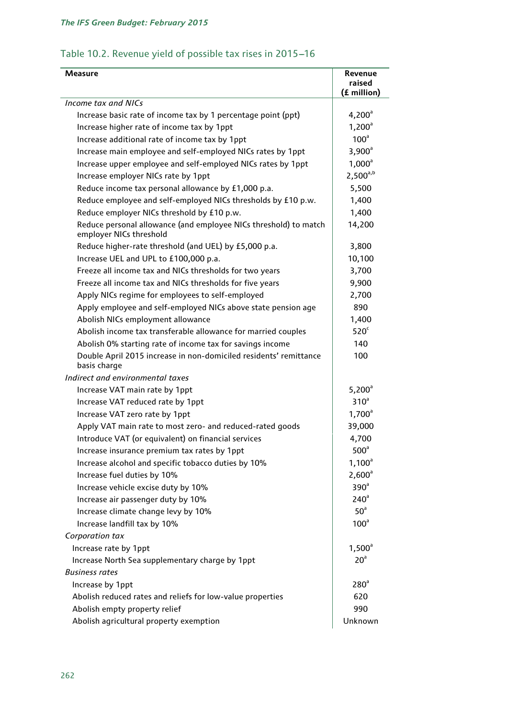# Table 10.2. Revenue yield of possible tax rises in 2015-16

| Measure                                                                                     | Revenue<br>raised<br>(£ million) |
|---------------------------------------------------------------------------------------------|----------------------------------|
| Income tax and NICs                                                                         |                                  |
| Increase basic rate of income tax by 1 percentage point (ppt)                               | $4,200^{\circ}$                  |
| Increase higher rate of income tax by 1ppt                                                  | $1,200^a$                        |
| Increase additional rate of income tax by 1ppt                                              | 100 <sup>a</sup>                 |
| Increase main employee and self-employed NICs rates by 1ppt                                 | $3,900^{\circ}$                  |
| Increase upper employee and self-employed NICs rates by 1ppt                                | $1,000^a$                        |
| Increase employer NICs rate by 1ppt                                                         | $2,500^{a,b}$                    |
| Reduce income tax personal allowance by £1,000 p.a.                                         | 5,500                            |
| Reduce employee and self-employed NICs thresholds by £10 p.w.                               | 1,400                            |
| Reduce employer NICs threshold by £10 p.w.                                                  | 1,400                            |
| Reduce personal allowance (and employee NICs threshold) to match<br>employer NICs threshold | 14,200                           |
| Reduce higher-rate threshold (and UEL) by £5,000 p.a.                                       | 3,800                            |
| Increase UEL and UPL to £100,000 p.a.                                                       | 10,100                           |
| Freeze all income tax and NICs thresholds for two years                                     | 3,700                            |
| Freeze all income tax and NICs thresholds for five years                                    | 9,900                            |
| Apply NICs regime for employees to self-employed                                            | 2,700                            |
| Apply employee and self-employed NICs above state pension age                               | 890                              |
| Abolish NICs employment allowance                                                           | 1,400                            |
| Abolish income tax transferable allowance for married couples                               | 520 <sup>c</sup>                 |
| Abolish 0% starting rate of income tax for savings income                                   | 140                              |
| Double April 2015 increase in non-domiciled residents' remittance<br>basis charge           | 100                              |
| Indirect and environmental taxes                                                            |                                  |
| Increase VAT main rate by 1ppt                                                              | $5,200^{\circ}$                  |
| Increase VAT reduced rate by 1ppt                                                           | 310 <sup>a</sup>                 |
| Increase VAT zero rate by 1ppt                                                              | $1,700^a$                        |
| Apply VAT main rate to most zero- and reduced-rated goods                                   | 39,000                           |
| Introduce VAT (or equivalent) on financial services                                         | 4,700                            |
| Increase insurance premium tax rates by 1ppt                                                | 500 <sup>a</sup>                 |
| Increase alcohol and specific tobacco duties by 10%                                         | $1,100^a$                        |
| Increase fuel duties by 10%                                                                 | $2,600^a$                        |
| Increase vehicle excise duty by 10%                                                         | 390 <sup>a</sup>                 |
| Increase air passenger duty by 10%                                                          | 240 <sup>a</sup>                 |
| Increase climate change levy by 10%                                                         | 50 <sup>a</sup>                  |
| Increase landfill tax by 10%                                                                | 100 <sup>a</sup>                 |
| Corporation tax                                                                             |                                  |
| Increase rate by 1ppt                                                                       | $1,500^{\circ}$                  |
| Increase North Sea supplementary charge by 1ppt                                             | 20 <sup>a</sup>                  |
| <b>Business rates</b>                                                                       |                                  |
| Increase by 1ppt                                                                            | $280^\circ$                      |
| Abolish reduced rates and reliefs for low-value properties                                  | 620                              |
| Abolish empty property relief                                                               | 990                              |
| Abolish agricultural property exemption                                                     | Unknown                          |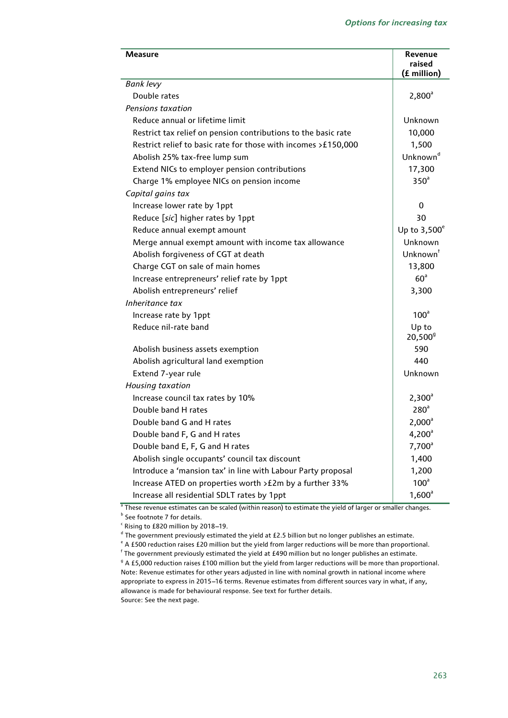| Measure                                                        | Revenue<br>raised<br>(£ million) |
|----------------------------------------------------------------|----------------------------------|
| <b>Bank levy</b>                                               |                                  |
| Double rates                                                   | $2,800^a$                        |
| Pensions taxation                                              |                                  |
| Reduce annual or lifetime limit                                | Unknown                          |
| Restrict tax relief on pension contributions to the basic rate | 10,000                           |
| Restrict relief to basic rate for those with incomes >£150,000 | 1,500                            |
| Abolish 25% tax-free lump sum                                  | Unknown <sup>d</sup>             |
| Extend NICs to employer pension contributions                  | 17,300                           |
| Charge 1% employee NICs on pension income                      | 350 <sup>a</sup>                 |
| Capital gains tax                                              |                                  |
| Increase lower rate by 1ppt                                    | 0                                |
| Reduce [sic] higher rates by 1ppt                              | 30                               |
| Reduce annual exempt amount                                    | Up to $3,500^\circ$              |
| Merge annual exempt amount with income tax allowance           | Unknown                          |
| Abolish forgiveness of CGT at death                            | Unknown <sup>†</sup>             |
| Charge CGT on sale of main homes                               | 13,800                           |
| Increase entrepreneurs' relief rate by 1ppt                    | 60 <sup>a</sup>                  |
| Abolish entrepreneurs' relief                                  | 3,300                            |
| Inheritance tax                                                |                                  |
| Increase rate by 1ppt                                          | 100 <sup>a</sup>                 |
| Reduce nil-rate band                                           | Up to<br>$20,500^9$              |
| Abolish business assets exemption                              | 590                              |
| Abolish agricultural land exemption                            | 440                              |
| Extend 7-year rule                                             | Unknown                          |
| Housing taxation                                               |                                  |
| Increase council tax rates by 10%                              | $2,300^{\circ}$                  |
| Double band H rates                                            | 280 <sup>a</sup>                 |
| Double band G and H rates                                      | $2,000^a$                        |
| Double band F, G and H rates                                   | $4,200^{\circ}$                  |
| Double band E, F, G and H rates                                | $7,700^a$                        |
| Abolish single occupants' council tax discount                 | 1,400                            |
| Introduce a 'mansion tax' in line with Labour Party proposal   | 1,200                            |
| Increase ATED on properties worth > £2m by a further 33%       | 100 <sup>a</sup>                 |
| Increase all residential SDLT rates by 1ppt                    | $1,600^a$                        |

<sup>a</sup> These revenue estimates can be scaled (within reason) to estimate the yield of larger or smaller changes. **b** See footnot[e 7](#page-6-5) for details.

 $\cdot$  Rising to £820 million by 2018-19.

<sup>d</sup> The government previously estimated the yield at £2.5 billion but no longer publishes an estimate.

 $e^*$  A £500 reduction raises £20 million but the yield from larger reductions will be more than proportional.

 $^{\mathsf{f}}$  The government previously estimated the yield at £490 million but no longer publishes an estimate.

 $9$  A £5,000 reduction raises £100 million but the yield from larger reductions will be more than proportional. Note: Revenue estimates for other years adjusted in line with nominal growth in national income where appropriate to express in 2015-16 terms. Revenue estimates from different sources vary in what, if any, allowance is made for behavioural response. See text for further details. Source: See the next page.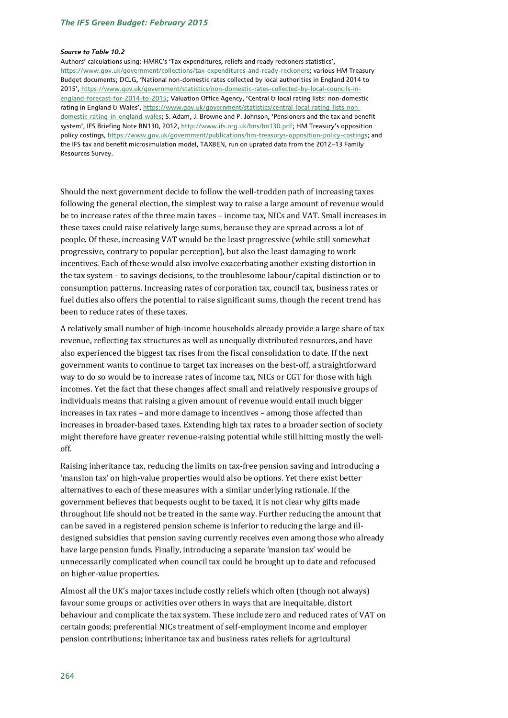#### *Source to Table 10.2*

Authors' calculations using: HMRC's 'Tax expenditures, reliefs and ready reckoners statistics', [https://www.gov.uk/government/collections/tax-expenditures-and-ready-reckoners;](https://www.gov.uk/government/collections/tax-expenditures-and-ready-reckoners) various HM Treasury Budget documents; DCLG, 'National non-domestic rates collected by local authorities in England 2014 to 2015', [https://www.gov.uk/government/statistics/non-domestic-rates-collected-by-local-councils-in](https://www.gov.uk/government/statistics/non-domestic-rates-collected-by-local-councils-in-england-forecast-for-2014-to-2015)[england-forecast-for-2014-to-2015;](https://www.gov.uk/government/statistics/non-domestic-rates-collected-by-local-councils-in-england-forecast-for-2014-to-2015) Valuation Office Agency, 'Central & local rating lists: non-domestic rating in England & Wales', [https://www.gov.uk/government/statistics/central-local-rating-lists-non](https://www.gov.uk/government/statistics/central-local-rating-lists-non-domestic-rating-in-england-wales)[domestic-rating-in-england-wales;](https://www.gov.uk/government/statistics/central-local-rating-lists-non-domestic-rating-in-england-wales) S. Adam, J. Browne and P. Johnson, 'Pensioners and the tax and benefit system', IFS Briefing Note BN130, 2012[, http://www.ifs.org.uk/bns/bn130.pdf;](http://www.ifs.org.uk/bns/bn130.pdf) HM Treasury's opposition policy costings, [https://www.gov.uk/government/publications/hm-treasurys-opposition-policy-costings;](https://www.gov.uk/government/publications/hm-treasurys-opposition-policy-costings) and the IFS tax and benefit microsimulation model, TAXBEN, run on uprated data from the 2012-13 Family Resources Survey.

Should the next government decide to follow the well-trodden path of increasing taxes following the general election, the simplest way to raise a large amount of revenue would be to increase rates of the three main taxes – income tax, NICs and VAT. Small increases in these taxes could raise relatively large sums, because they are spread across a lot of people. Of these, increasing VAT would be the least progressive (while still somewhat progressive, contrary to popular perception), but also the least damaging to work incentives. Each of these would also involve exacerbating another existing distortion in the tax system – to savings decisions, to the troublesome labour/capital distinction or to consumption patterns. Increasing rates of corporation tax, council tax, business rates or fuel duties also offers the potential to raise significant sums, though the recent trend has been to reduce rates of these taxes.

A relatively small number of high-income households already provide a large share of tax revenue, reflecting tax structures as well as unequally distributed resources, and have also experienced the biggest tax rises from the fiscal consolidation to date. If the next government wants to continue to target tax increases on the best-off, a straightforward way to do so would be to increase rates of income tax, NICs or CGT for those with high incomes. Yet the fact that these changes affect small and relatively responsive groups of individuals means that raising a given amount of revenue would entail much bigger increases in tax rates – and more damage to incentives – among those affected than increases in broader-based taxes. Extending high tax rates to a broader section of society might therefore have greater revenue-raising potential while still hitting mostly the welloff.

Raising inheritance tax, reducing the limits on tax-free pension saving and introducing a 'mansion tax' on high-value properties would also be options. Yet there exist better alternatives to each of these measures with a similar underlying rationale. If the government believes that bequests ought to be taxed, it is not clear why gifts made throughout life should not be treated in the same way. Further reducing the amount that can be saved in a registered pension scheme is inferior to reducing the large and illdesigned subsidies that pension saving currently receives even among those who already have large pension funds. Finally, introducing a separate 'mansion tax' would be unnecessarily complicated when council tax could be brought up to date and refocused on higher-value properties.

Almost all the UK's major taxes include costly reliefs which often (though not always) favour some groups or activities over others in ways that are inequitable, distort behaviour and complicate the tax system. These include zero and reduced rates of VAT on certain goods; preferential NICs treatment of self-employment income and employer pension contributions; inheritance tax and business rates reliefs for agricultural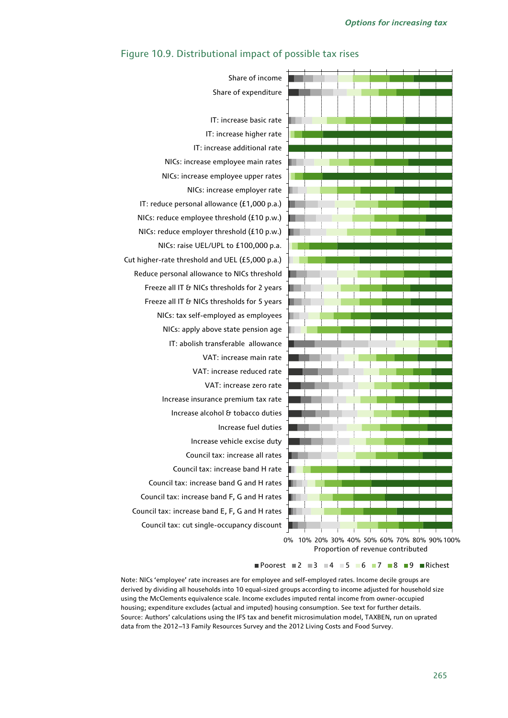

### Figure 10.9. Distributional impact of possible tax rises

Proportion of revenue contributed

Poorest 2 3 4 5 6 7 8 9 Richest

Note: NICs 'employee' rate increases are for employee and self-employed rates. Income decile groups are derived by dividing all households into 10 equal-sized groups according to income adjusted for household size using the McClements equivalence scale. Income excludes imputed rental income from owner-occupied housing; expenditure excludes (actual and imputed) housing consumption. See text for further details. Source: Authors' calculations using the IFS tax and benefit microsimulation model, TAXBEN, run on uprated data from the 2012-13 Family Resources Survey and the 2012 Living Costs and Food Survey.